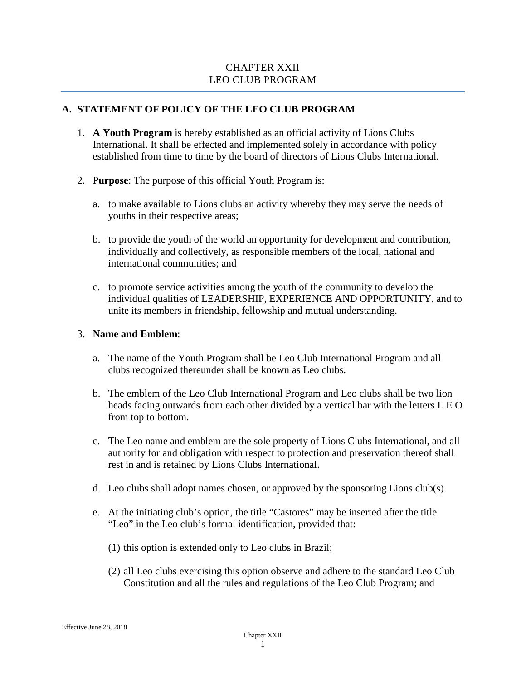# CHAPTER XXII LEO CLUB PROGRAM

# **A. STATEMENT OF POLICY OF THE LEO CLUB PROGRAM**

- 1. **A Youth Program** is hereby established as an official activity of Lions Clubs International. It shall be effected and implemented solely in accordance with policy established from time to time by the board of directors of Lions Clubs International.
- 2. P**urpose**: The purpose of this official Youth Program is:
	- a. to make available to Lions clubs an activity whereby they may serve the needs of youths in their respective areas;
	- b. to provide the youth of the world an opportunity for development and contribution, individually and collectively, as responsible members of the local, national and international communities; and
	- c. to promote service activities among the youth of the community to develop the individual qualities of LEADERSHIP, EXPERIENCE AND OPPORTUNITY, and to unite its members in friendship, fellowship and mutual understanding.

#### 3. **Name and Emblem**:

- a. The name of the Youth Program shall be Leo Club International Program and all clubs recognized thereunder shall be known as Leo clubs.
- b. The emblem of the Leo Club International Program and Leo clubs shall be two lion heads facing outwards from each other divided by a vertical bar with the letters L E O from top to bottom.
- c. The Leo name and emblem are the sole property of Lions Clubs International, and all authority for and obligation with respect to protection and preservation thereof shall rest in and is retained by Lions Clubs International.
- d. Leo clubs shall adopt names chosen, or approved by the sponsoring Lions club(s).
- e. At the initiating club's option, the title "Castores" may be inserted after the title "Leo" in the Leo club's formal identification, provided that:
	- (1) this option is extended only to Leo clubs in Brazil;
	- (2) all Leo clubs exercising this option observe and adhere to the standard Leo Club Constitution and all the rules and regulations of the Leo Club Program; and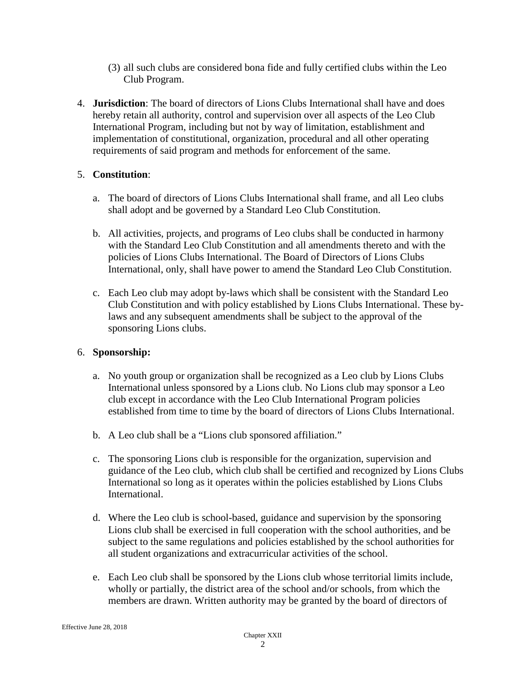- (3) all such clubs are considered bona fide and fully certified clubs within the Leo Club Program.
- 4. **Jurisdiction**: The board of directors of Lions Clubs International shall have and does hereby retain all authority, control and supervision over all aspects of the Leo Club International Program, including but not by way of limitation, establishment and implementation of constitutional, organization, procedural and all other operating requirements of said program and methods for enforcement of the same.

# 5. **Constitution**:

- a. The board of directors of Lions Clubs International shall frame, and all Leo clubs shall adopt and be governed by a Standard Leo Club Constitution.
- b. All activities, projects, and programs of Leo clubs shall be conducted in harmony with the Standard Leo Club Constitution and all amendments thereto and with the policies of Lions Clubs International. The Board of Directors of Lions Clubs International, only, shall have power to amend the Standard Leo Club Constitution.
- c. Each Leo club may adopt by-laws which shall be consistent with the Standard Leo Club Constitution and with policy established by Lions Clubs International. These bylaws and any subsequent amendments shall be subject to the approval of the sponsoring Lions clubs.

# 6. **Sponsorship:**

- a. No youth group or organization shall be recognized as a Leo club by Lions Clubs International unless sponsored by a Lions club. No Lions club may sponsor a Leo club except in accordance with the Leo Club International Program policies established from time to time by the board of directors of Lions Clubs International.
- b. A Leo club shall be a "Lions club sponsored affiliation."
- c. The sponsoring Lions club is responsible for the organization, supervision and guidance of the Leo club, which club shall be certified and recognized by Lions Clubs International so long as it operates within the policies established by Lions Clubs International.
- d. Where the Leo club is school-based, guidance and supervision by the sponsoring Lions club shall be exercised in full cooperation with the school authorities, and be subject to the same regulations and policies established by the school authorities for all student organizations and extracurricular activities of the school.
- e. Each Leo club shall be sponsored by the Lions club whose territorial limits include, wholly or partially, the district area of the school and/or schools, from which the members are drawn. Written authority may be granted by the board of directors of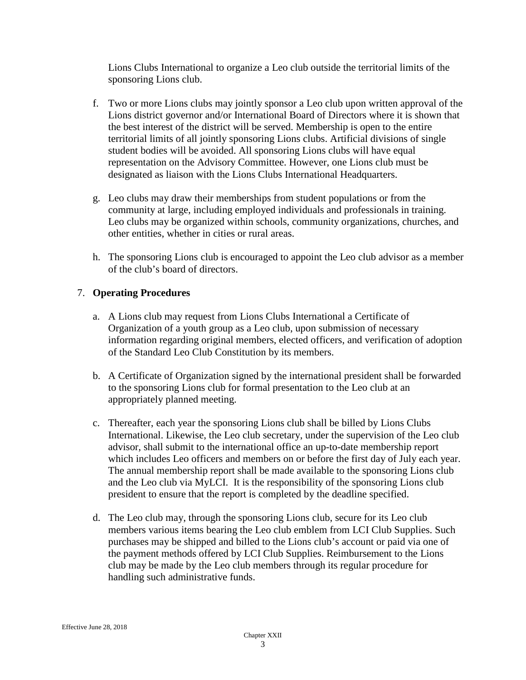Lions Clubs International to organize a Leo club outside the territorial limits of the sponsoring Lions club.

- f. Two or more Lions clubs may jointly sponsor a Leo club upon written approval of the Lions district governor and/or International Board of Directors where it is shown that the best interest of the district will be served. Membership is open to the entire territorial limits of all jointly sponsoring Lions clubs. Artificial divisions of single student bodies will be avoided. All sponsoring Lions clubs will have equal representation on the Advisory Committee. However, one Lions club must be designated as liaison with the Lions Clubs International Headquarters.
- g. Leo clubs may draw their memberships from student populations or from the community at large, including employed individuals and professionals in training. Leo clubs may be organized within schools, community organizations, churches, and other entities, whether in cities or rural areas.
- h. The sponsoring Lions club is encouraged to appoint the Leo club advisor as a member of the club's board of directors.

# 7. **Operating Procedures**

- a. A Lions club may request from Lions Clubs International a Certificate of Organization of a youth group as a Leo club, upon submission of necessary information regarding original members, elected officers, and verification of adoption of the Standard Leo Club Constitution by its members.
- b. A Certificate of Organization signed by the international president shall be forwarded to the sponsoring Lions club for formal presentation to the Leo club at an appropriately planned meeting.
- c. Thereafter, each year the sponsoring Lions club shall be billed by Lions Clubs International. Likewise, the Leo club secretary, under the supervision of the Leo club advisor, shall submit to the international office an up-to-date membership report which includes Leo officers and members on or before the first day of July each year. The annual membership report shall be made available to the sponsoring Lions club and the Leo club via MyLCI. It is the responsibility of the sponsoring Lions club president to ensure that the report is completed by the deadline specified.
- d. The Leo club may, through the sponsoring Lions club, secure for its Leo club members various items bearing the Leo club emblem from LCI Club Supplies. Such purchases may be shipped and billed to the Lions club's account or paid via one of the payment methods offered by LCI Club Supplies. Reimbursement to the Lions club may be made by the Leo club members through its regular procedure for handling such administrative funds.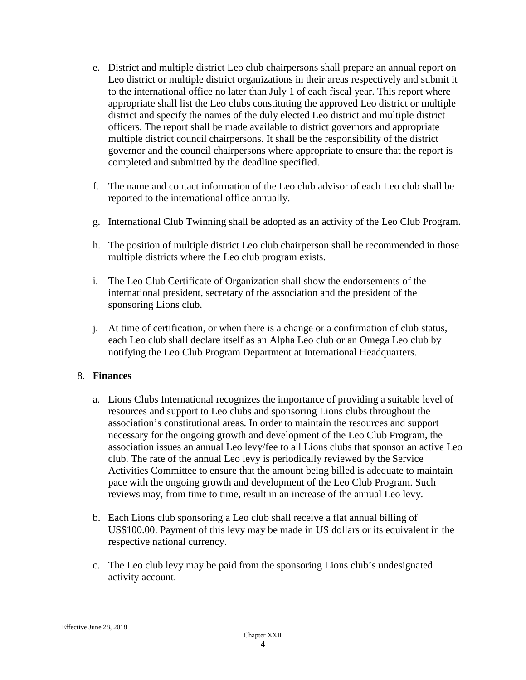- e. District and multiple district Leo club chairpersons shall prepare an annual report on Leo district or multiple district organizations in their areas respectively and submit it to the international office no later than July 1 of each fiscal year. This report where appropriate shall list the Leo clubs constituting the approved Leo district or multiple district and specify the names of the duly elected Leo district and multiple district officers. The report shall be made available to district governors and appropriate multiple district council chairpersons. It shall be the responsibility of the district governor and the council chairpersons where appropriate to ensure that the report is completed and submitted by the deadline specified.
- f. The name and contact information of the Leo club advisor of each Leo club shall be reported to the international office annually.
- g. International Club Twinning shall be adopted as an activity of the Leo Club Program.
- h. The position of multiple district Leo club chairperson shall be recommended in those multiple districts where the Leo club program exists.
- i. The Leo Club Certificate of Organization shall show the endorsements of the international president, secretary of the association and the president of the sponsoring Lions club.
- j. At time of certification, or when there is a change or a confirmation of club status, each Leo club shall declare itself as an Alpha Leo club or an Omega Leo club by notifying the Leo Club Program Department at International Headquarters.

# 8. **Finances**

- a. Lions Clubs International recognizes the importance of providing a suitable level of resources and support to Leo clubs and sponsoring Lions clubs throughout the association's constitutional areas. In order to maintain the resources and support necessary for the ongoing growth and development of the Leo Club Program, the association issues an annual Leo levy/fee to all Lions clubs that sponsor an active Leo club. The rate of the annual Leo levy is periodically reviewed by the Service Activities Committee to ensure that the amount being billed is adequate to maintain pace with the ongoing growth and development of the Leo Club Program. Such reviews may, from time to time, result in an increase of the annual Leo levy.
- b. Each Lions club sponsoring a Leo club shall receive a flat annual billing of US\$100.00. Payment of this levy may be made in US dollars or its equivalent in the respective national currency.
- c. The Leo club levy may be paid from the sponsoring Lions club's undesignated activity account.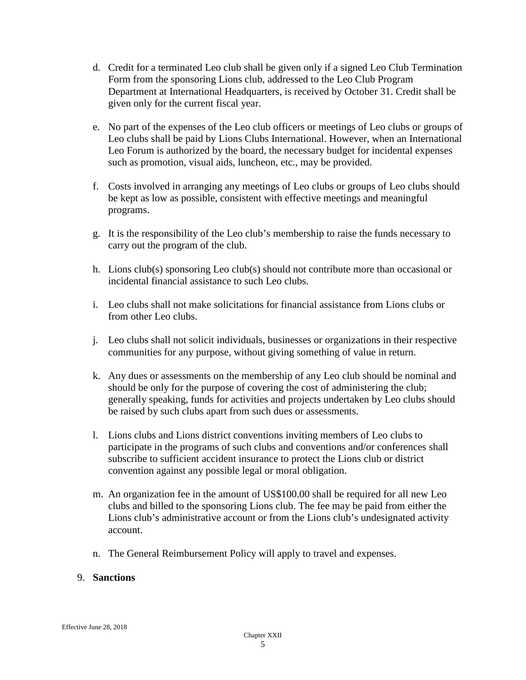- d. Credit for a terminated Leo club shall be given only if a signed Leo Club Termination Form from the sponsoring Lions club, addressed to the Leo Club Program Department at International Headquarters, is received by October 31. Credit shall be given only for the current fiscal year.
- e. No part of the expenses of the Leo club officers or meetings of Leo clubs or groups of Leo clubs shall be paid by Lions Clubs International. However, when an International Leo Forum is authorized by the board, the necessary budget for incidental expenses such as promotion, visual aids, luncheon, etc., may be provided.
- f. Costs involved in arranging any meetings of Leo clubs or groups of Leo clubs should be kept as low as possible, consistent with effective meetings and meaningful programs.
- g. It is the responsibility of the Leo club's membership to raise the funds necessary to carry out the program of the club.
- h. Lions club(s) sponsoring Leo club(s) should not contribute more than occasional or incidental financial assistance to such Leo clubs.
- i. Leo clubs shall not make solicitations for financial assistance from Lions clubs or from other Leo clubs.
- j. Leo clubs shall not solicit individuals, businesses or organizations in their respective communities for any purpose, without giving something of value in return.
- k. Any dues or assessments on the membership of any Leo club should be nominal and should be only for the purpose of covering the cost of administering the club; generally speaking, funds for activities and projects undertaken by Leo clubs should be raised by such clubs apart from such dues or assessments.
- l. Lions clubs and Lions district conventions inviting members of Leo clubs to participate in the programs of such clubs and conventions and/or conferences shall subscribe to sufficient accident insurance to protect the Lions club or district convention against any possible legal or moral obligation.
- m. An organization fee in the amount of US\$100.00 shall be required for all new Leo clubs and billed to the sponsoring Lions club. The fee may be paid from either the Lions club's administrative account or from the Lions club's undesignated activity account.
- n. The General Reimbursement Policy will apply to travel and expenses.

# 9. **Sanctions**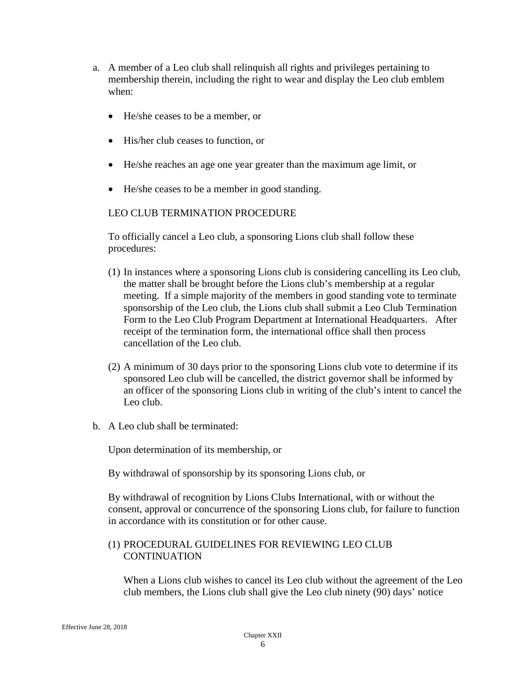- a. A member of a Leo club shall relinquish all rights and privileges pertaining to membership therein, including the right to wear and display the Leo club emblem when:
	- He/she ceases to be a member, or
	- His/her club ceases to function, or
	- He/she reaches an age one year greater than the maximum age limit, or
	- He/she ceases to be a member in good standing.

# LEO CLUB TERMINATION PROCEDURE

To officially cancel a Leo club, a sponsoring Lions club shall follow these procedures:

- (1) In instances where a sponsoring Lions club is considering cancelling its Leo club, the matter shall be brought before the Lions club's membership at a regular meeting. If a simple majority of the members in good standing vote to terminate sponsorship of the Leo club, the Lions club shall submit a Leo Club Termination Form to the Leo Club Program Department at International Headquarters. After receipt of the termination form, the international office shall then process cancellation of the Leo club.
- (2) A minimum of 30 days prior to the sponsoring Lions club vote to determine if its sponsored Leo club will be cancelled, the district governor shall be informed by an officer of the sponsoring Lions club in writing of the club's intent to cancel the Leo club.
- b. A Leo club shall be terminated:

Upon determination of its membership, or

By withdrawal of sponsorship by its sponsoring Lions club, or

By withdrawal of recognition by Lions Clubs International, with or without the consent, approval or concurrence of the sponsoring Lions club, for failure to function in accordance with its constitution or for other cause.

#### (1) PROCEDURAL GUIDELINES FOR REVIEWING LEO CLUB **CONTINUATION**

When a Lions club wishes to cancel its Leo club without the agreement of the Leo club members, the Lions club shall give the Leo club ninety (90) days' notice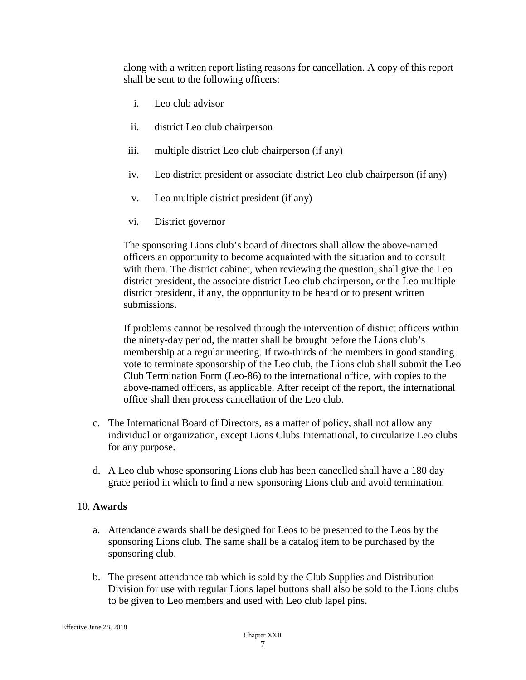along with a written report listing reasons for cancellation. A copy of this report shall be sent to the following officers:

- i. Leo club advisor
- ii. district Leo club chairperson
- iii. multiple district Leo club chairperson (if any)
- iv. Leo district president or associate district Leo club chairperson (if any)
- v. Leo multiple district president (if any)
- vi. District governor

The sponsoring Lions club's board of directors shall allow the above-named officers an opportunity to become acquainted with the situation and to consult with them. The district cabinet, when reviewing the question, shall give the Leo district president, the associate district Leo club chairperson, or the Leo multiple district president, if any, the opportunity to be heard or to present written submissions.

If problems cannot be resolved through the intervention of district officers within the ninety-day period, the matter shall be brought before the Lions club's membership at a regular meeting. If two-thirds of the members in good standing vote to terminate sponsorship of the Leo club, the Lions club shall submit the Leo Club Termination Form (Leo-86) to the international office, with copies to the above-named officers, as applicable. After receipt of the report, the international office shall then process cancellation of the Leo club.

- c. The International Board of Directors, as a matter of policy, shall not allow any individual or organization, except Lions Clubs International, to circularize Leo clubs for any purpose.
- d. A Leo club whose sponsoring Lions club has been cancelled shall have a 180 day grace period in which to find a new sponsoring Lions club and avoid termination.

# 10. **Awards**

- a. Attendance awards shall be designed for Leos to be presented to the Leos by the sponsoring Lions club. The same shall be a catalog item to be purchased by the sponsoring club.
- b. The present attendance tab which is sold by the Club Supplies and Distribution Division for use with regular Lions lapel buttons shall also be sold to the Lions clubs to be given to Leo members and used with Leo club lapel pins.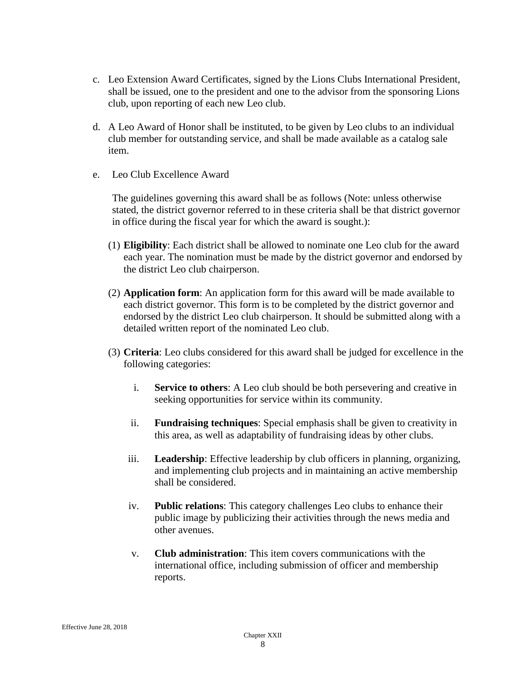- c. Leo Extension Award Certificates, signed by the Lions Clubs International President, shall be issued, one to the president and one to the advisor from the sponsoring Lions club, upon reporting of each new Leo club.
- d. A Leo Award of Honor shall be instituted, to be given by Leo clubs to an individual club member for outstanding service, and shall be made available as a catalog sale item.
- e. Leo Club Excellence Award

The guidelines governing this award shall be as follows (Note: unless otherwise stated, the district governor referred to in these criteria shall be that district governor in office during the fiscal year for which the award is sought.):

- (1) **Eligibility**: Each district shall be allowed to nominate one Leo club for the award each year. The nomination must be made by the district governor and endorsed by the district Leo club chairperson.
- (2) **Application form**: An application form for this award will be made available to each district governor. This form is to be completed by the district governor and endorsed by the district Leo club chairperson. It should be submitted along with a detailed written report of the nominated Leo club.
- (3) **Criteria**: Leo clubs considered for this award shall be judged for excellence in the following categories:
	- i. **Service to others**: A Leo club should be both persevering and creative in seeking opportunities for service within its community.
	- ii. **Fundraising techniques**: Special emphasis shall be given to creativity in this area, as well as adaptability of fundraising ideas by other clubs.
	- iii. **Leadership**: Effective leadership by club officers in planning, organizing, and implementing club projects and in maintaining an active membership shall be considered.
	- iv. **Public relations**: This category challenges Leo clubs to enhance their public image by publicizing their activities through the news media and other avenues.
	- v. **Club administration**: This item covers communications with the international office, including submission of officer and membership reports.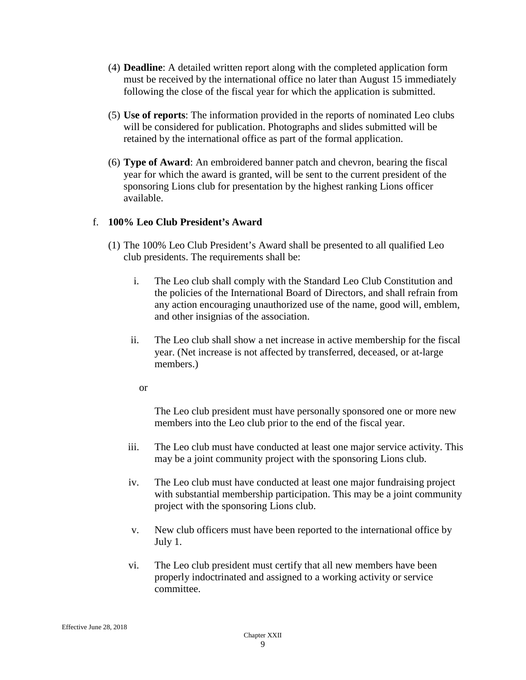- (4) **Deadline**: A detailed written report along with the completed application form must be received by the international office no later than August 15 immediately following the close of the fiscal year for which the application is submitted.
- (5) **Use of reports**: The information provided in the reports of nominated Leo clubs will be considered for publication. Photographs and slides submitted will be retained by the international office as part of the formal application.
- (6) **Type of Award**: An embroidered banner patch and chevron, bearing the fiscal year for which the award is granted, will be sent to the current president of the sponsoring Lions club for presentation by the highest ranking Lions officer available.

# f. **100% Leo Club President's Award**

- (1) The 100% Leo Club President's Award shall be presented to all qualified Leo club presidents. The requirements shall be:
	- i. The Leo club shall comply with the Standard Leo Club Constitution and the policies of the International Board of Directors, and shall refrain from any action encouraging unauthorized use of the name, good will, emblem, and other insignias of the association.
	- ii. The Leo club shall show a net increase in active membership for the fiscal year. (Net increase is not affected by transferred, deceased, or at-large members.)
		- or

The Leo club president must have personally sponsored one or more new members into the Leo club prior to the end of the fiscal year.

- iii. The Leo club must have conducted at least one major service activity. This may be a joint community project with the sponsoring Lions club.
- iv. The Leo club must have conducted at least one major fundraising project with substantial membership participation. This may be a joint community project with the sponsoring Lions club.
- v. New club officers must have been reported to the international office by July 1.
- vi. The Leo club president must certify that all new members have been properly indoctrinated and assigned to a working activity or service committee.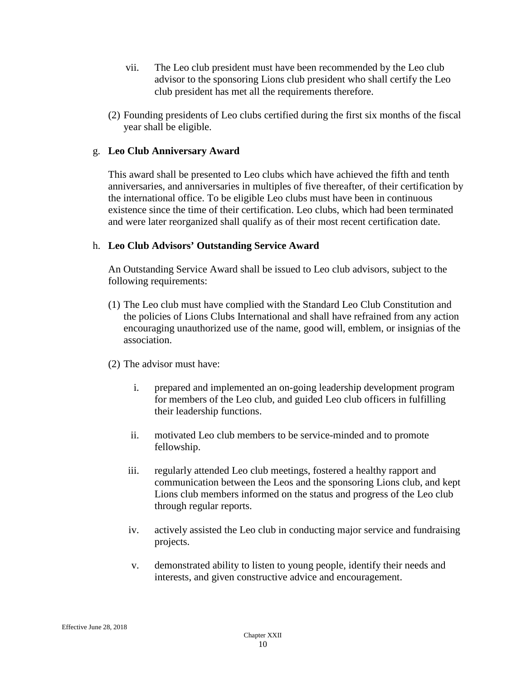- vii. The Leo club president must have been recommended by the Leo club advisor to the sponsoring Lions club president who shall certify the Leo club president has met all the requirements therefore.
- (2) Founding presidents of Leo clubs certified during the first six months of the fiscal year shall be eligible.

### g. **Leo Club Anniversary Award**

This award shall be presented to Leo clubs which have achieved the fifth and tenth anniversaries, and anniversaries in multiples of five thereafter, of their certification by the international office. To be eligible Leo clubs must have been in continuous existence since the time of their certification. Leo clubs, which had been terminated and were later reorganized shall qualify as of their most recent certification date.

#### h. **Leo Club Advisors' Outstanding Service Award**

An Outstanding Service Award shall be issued to Leo club advisors, subject to the following requirements:

- (1) The Leo club must have complied with the Standard Leo Club Constitution and the policies of Lions Clubs International and shall have refrained from any action encouraging unauthorized use of the name, good will, emblem, or insignias of the association.
- (2) The advisor must have:
	- i. prepared and implemented an on-going leadership development program for members of the Leo club, and guided Leo club officers in fulfilling their leadership functions.
	- ii. motivated Leo club members to be service-minded and to promote fellowship.
	- iii. regularly attended Leo club meetings, fostered a healthy rapport and communication between the Leos and the sponsoring Lions club, and kept Lions club members informed on the status and progress of the Leo club through regular reports.
	- iv. actively assisted the Leo club in conducting major service and fundraising projects.
	- v. demonstrated ability to listen to young people, identify their needs and interests, and given constructive advice and encouragement.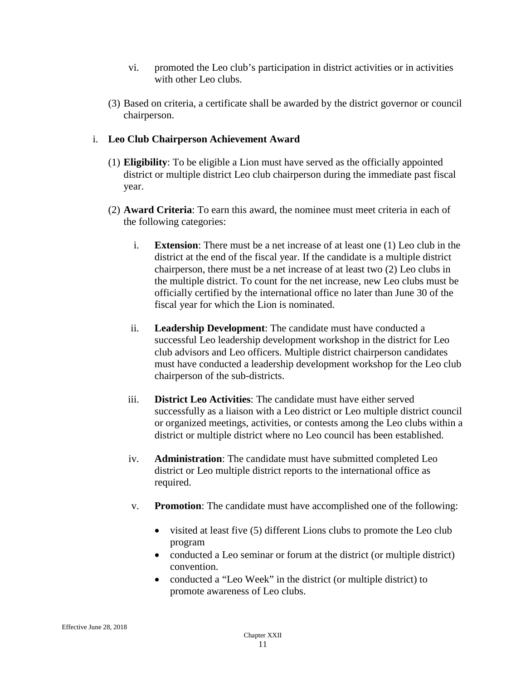- vi. promoted the Leo club's participation in district activities or in activities with other Leo clubs.
- (3) Based on criteria, a certificate shall be awarded by the district governor or council chairperson.

### i. **Leo Club Chairperson Achievement Award**

- (1) **Eligibility**: To be eligible a Lion must have served as the officially appointed district or multiple district Leo club chairperson during the immediate past fiscal year.
- (2) **Award Criteria**: To earn this award, the nominee must meet criteria in each of the following categories:
	- i. **Extension**: There must be a net increase of at least one (1) Leo club in the district at the end of the fiscal year. If the candidate is a multiple district chairperson, there must be a net increase of at least two (2) Leo clubs in the multiple district. To count for the net increase, new Leo clubs must be officially certified by the international office no later than June 30 of the fiscal year for which the Lion is nominated.
	- ii. **Leadership Development**: The candidate must have conducted a successful Leo leadership development workshop in the district for Leo club advisors and Leo officers. Multiple district chairperson candidates must have conducted a leadership development workshop for the Leo club chairperson of the sub-districts.
	- iii. **District Leo Activities**: The candidate must have either served successfully as a liaison with a Leo district or Leo multiple district council or organized meetings, activities, or contests among the Leo clubs within a district or multiple district where no Leo council has been established.
	- iv. **Administration**: The candidate must have submitted completed Leo district or Leo multiple district reports to the international office as required.
	- v. **Promotion**: The candidate must have accomplished one of the following:
		- visited at least five (5) different Lions clubs to promote the Leo club program
		- conducted a Leo seminar or forum at the district (or multiple district) convention.
		- conducted a "Leo Week" in the district (or multiple district) to promote awareness of Leo clubs.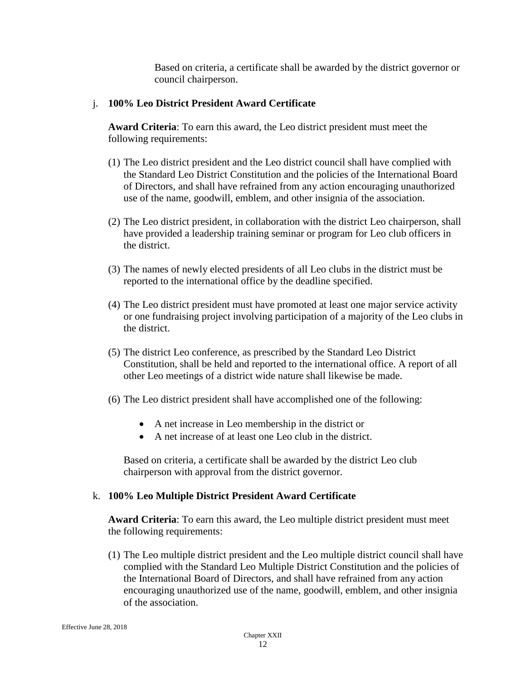Based on criteria, a certificate shall be awarded by the district governor or council chairperson.

#### j. **100% Leo District President Award Certificate**

**Award Criteria**: To earn this award, the Leo district president must meet the following requirements:

- (1) The Leo district president and the Leo district council shall have complied with the Standard Leo District Constitution and the policies of the International Board of Directors, and shall have refrained from any action encouraging unauthorized use of the name, goodwill, emblem, and other insignia of the association.
- (2) The Leo district president, in collaboration with the district Leo chairperson, shall have provided a leadership training seminar or program for Leo club officers in the district.
- (3) The names of newly elected presidents of all Leo clubs in the district must be reported to the international office by the deadline specified.
- (4) The Leo district president must have promoted at least one major service activity or one fundraising project involving participation of a majority of the Leo clubs in the district.
- (5) The district Leo conference, as prescribed by the Standard Leo District Constitution, shall be held and reported to the international office. A report of all other Leo meetings of a district wide nature shall likewise be made.
- (6) The Leo district president shall have accomplished one of the following:
	- A net increase in Leo membership in the district or
	- A net increase of at least one Leo club in the district.

Based on criteria, a certificate shall be awarded by the district Leo club chairperson with approval from the district governor.

# k. **100% Leo Multiple District President Award Certificate**

**Award Criteria**: To earn this award, the Leo multiple district president must meet the following requirements:

(1) The Leo multiple district president and the Leo multiple district council shall have complied with the Standard Leo Multiple District Constitution and the policies of the International Board of Directors, and shall have refrained from any action encouraging unauthorized use of the name, goodwill, emblem, and other insignia of the association.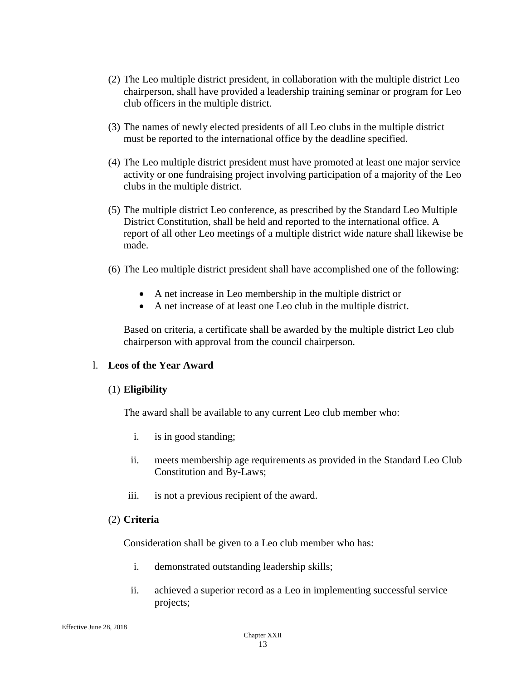- (2) The Leo multiple district president, in collaboration with the multiple district Leo chairperson, shall have provided a leadership training seminar or program for Leo club officers in the multiple district.
- (3) The names of newly elected presidents of all Leo clubs in the multiple district must be reported to the international office by the deadline specified.
- (4) The Leo multiple district president must have promoted at least one major service activity or one fundraising project involving participation of a majority of the Leo clubs in the multiple district.
- (5) The multiple district Leo conference, as prescribed by the Standard Leo Multiple District Constitution, shall be held and reported to the international office. A report of all other Leo meetings of a multiple district wide nature shall likewise be made.
- (6) The Leo multiple district president shall have accomplished one of the following:
	- A net increase in Leo membership in the multiple district or
	- A net increase of at least one Leo club in the multiple district.

Based on criteria, a certificate shall be awarded by the multiple district Leo club chairperson with approval from the council chairperson.

#### l. **Leos of the Year Award**

#### (1) **Eligibility**

The award shall be available to any current Leo club member who:

- i. is in good standing;
- ii. meets membership age requirements as provided in the Standard Leo Club Constitution and By-Laws;
- iii. is not a previous recipient of the award.

#### (2) **Criteria**

Consideration shall be given to a Leo club member who has:

- i. demonstrated outstanding leadership skills;
- ii. achieved a superior record as a Leo in implementing successful service projects;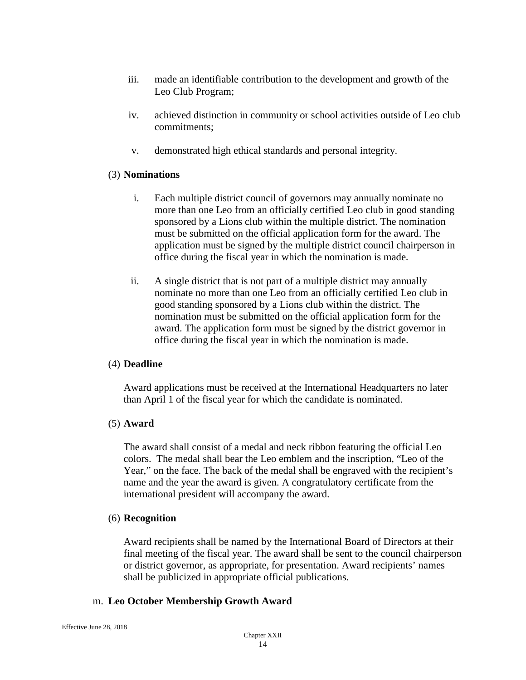- iii. made an identifiable contribution to the development and growth of the Leo Club Program;
- iv. achieved distinction in community or school activities outside of Leo club commitments;
- v. demonstrated high ethical standards and personal integrity.

#### (3) **Nominations**

- i. Each multiple district council of governors may annually nominate no more than one Leo from an officially certified Leo club in good standing sponsored by a Lions club within the multiple district. The nomination must be submitted on the official application form for the award. The application must be signed by the multiple district council chairperson in office during the fiscal year in which the nomination is made.
- ii. A single district that is not part of a multiple district may annually nominate no more than one Leo from an officially certified Leo club in good standing sponsored by a Lions club within the district. The nomination must be submitted on the official application form for the award. The application form must be signed by the district governor in office during the fiscal year in which the nomination is made.

# (4) **Deadline**

Award applications must be received at the International Headquarters no later than April 1 of the fiscal year for which the candidate is nominated.

# (5) **Award**

The award shall consist of a medal and neck ribbon featuring the official Leo colors. The medal shall bear the Leo emblem and the inscription, "Leo of the Year," on the face. The back of the medal shall be engraved with the recipient's name and the year the award is given. A congratulatory certificate from the international president will accompany the award.

#### (6) **Recognition**

Award recipients shall be named by the International Board of Directors at their final meeting of the fiscal year. The award shall be sent to the council chairperson or district governor, as appropriate, for presentation. Award recipients' names shall be publicized in appropriate official publications.

#### m. **Leo October Membership Growth Award**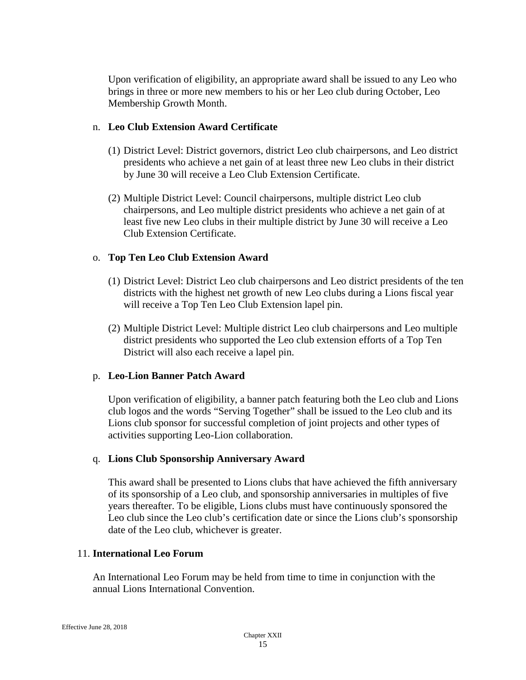Upon verification of eligibility, an appropriate award shall be issued to any Leo who brings in three or more new members to his or her Leo club during October, Leo Membership Growth Month.

### n. **Leo Club Extension Award Certificate**

- (1) District Level: District governors, district Leo club chairpersons, and Leo district presidents who achieve a net gain of at least three new Leo clubs in their district by June 30 will receive a Leo Club Extension Certificate.
- (2) Multiple District Level: Council chairpersons, multiple district Leo club chairpersons, and Leo multiple district presidents who achieve a net gain of at least five new Leo clubs in their multiple district by June 30 will receive a Leo Club Extension Certificate.

#### o. **Top Ten Leo Club Extension Award**

- (1) District Level: District Leo club chairpersons and Leo district presidents of the ten districts with the highest net growth of new Leo clubs during a Lions fiscal year will receive a Top Ten Leo Club Extension lapel pin.
- (2) Multiple District Level: Multiple district Leo club chairpersons and Leo multiple district presidents who supported the Leo club extension efforts of a Top Ten District will also each receive a lapel pin.

# p. **Leo-Lion Banner Patch Award**

Upon verification of eligibility, a banner patch featuring both the Leo club and Lions club logos and the words "Serving Together" shall be issued to the Leo club and its Lions club sponsor for successful completion of joint projects and other types of activities supporting Leo-Lion collaboration.

#### q. **Lions Club Sponsorship Anniversary Award**

This award shall be presented to Lions clubs that have achieved the fifth anniversary of its sponsorship of a Leo club, and sponsorship anniversaries in multiples of five years thereafter. To be eligible, Lions clubs must have continuously sponsored the Leo club since the Leo club's certification date or since the Lions club's sponsorship date of the Leo club, whichever is greater.

#### 11. **International Leo Forum**

An International Leo Forum may be held from time to time in conjunction with the annual Lions International Convention.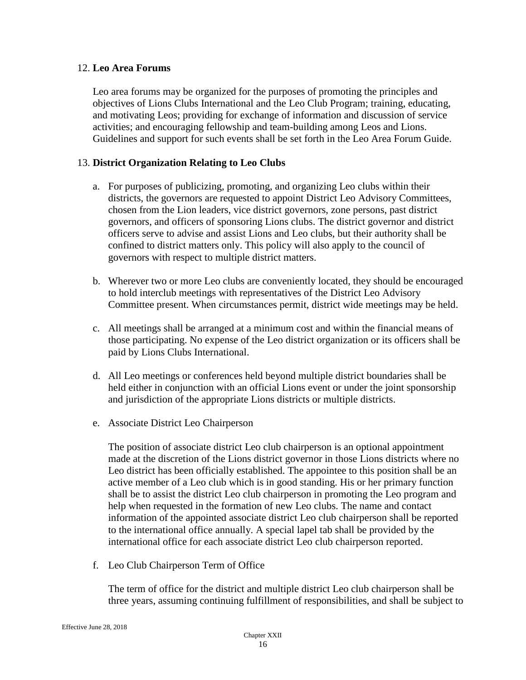### 12. **Leo Area Forums**

Leo area forums may be organized for the purposes of promoting the principles and objectives of Lions Clubs International and the Leo Club Program; training, educating, and motivating Leos; providing for exchange of information and discussion of service activities; and encouraging fellowship and team-building among Leos and Lions. Guidelines and support for such events shall be set forth in the Leo Area Forum Guide.

#### 13. **District Organization Relating to Leo Clubs**

- a. For purposes of publicizing, promoting, and organizing Leo clubs within their districts, the governors are requested to appoint District Leo Advisory Committees, chosen from the Lion leaders, vice district governors, zone persons, past district governors, and officers of sponsoring Lions clubs. The district governor and district officers serve to advise and assist Lions and Leo clubs, but their authority shall be confined to district matters only. This policy will also apply to the council of governors with respect to multiple district matters.
- b. Wherever two or more Leo clubs are conveniently located, they should be encouraged to hold interclub meetings with representatives of the District Leo Advisory Committee present. When circumstances permit, district wide meetings may be held.
- c. All meetings shall be arranged at a minimum cost and within the financial means of those participating. No expense of the Leo district organization or its officers shall be paid by Lions Clubs International.
- d. All Leo meetings or conferences held beyond multiple district boundaries shall be held either in conjunction with an official Lions event or under the joint sponsorship and jurisdiction of the appropriate Lions districts or multiple districts.
- e. Associate District Leo Chairperson

The position of associate district Leo club chairperson is an optional appointment made at the discretion of the Lions district governor in those Lions districts where no Leo district has been officially established. The appointee to this position shall be an active member of a Leo club which is in good standing. His or her primary function shall be to assist the district Leo club chairperson in promoting the Leo program and help when requested in the formation of new Leo clubs. The name and contact information of the appointed associate district Leo club chairperson shall be reported to the international office annually. A special lapel tab shall be provided by the international office for each associate district Leo club chairperson reported.

f. Leo Club Chairperson Term of Office

The term of office for the district and multiple district Leo club chairperson shall be three years, assuming continuing fulfillment of responsibilities, and shall be subject to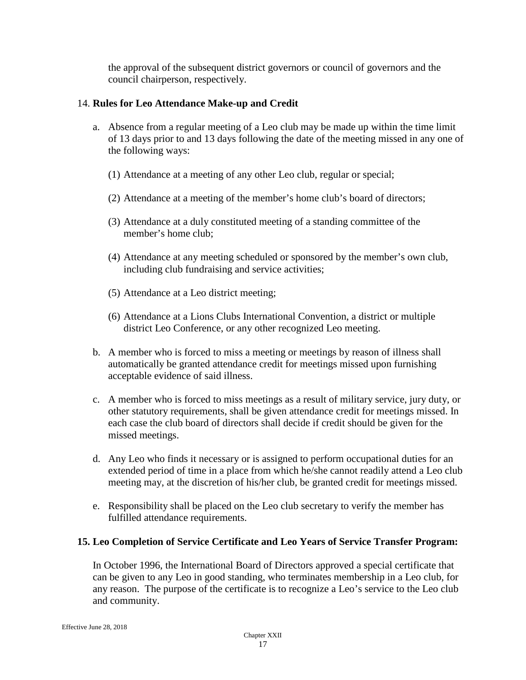the approval of the subsequent district governors or council of governors and the council chairperson, respectively.

# 14. **Rules for Leo Attendance Make-up and Credit**

- a. Absence from a regular meeting of a Leo club may be made up within the time limit of 13 days prior to and 13 days following the date of the meeting missed in any one of the following ways:
	- (1) Attendance at a meeting of any other Leo club, regular or special;
	- (2) Attendance at a meeting of the member's home club's board of directors;
	- (3) Attendance at a duly constituted meeting of a standing committee of the member's home club;
	- (4) Attendance at any meeting scheduled or sponsored by the member's own club, including club fundraising and service activities;
	- (5) Attendance at a Leo district meeting;
	- (6) Attendance at a Lions Clubs International Convention, a district or multiple district Leo Conference, or any other recognized Leo meeting.
- b. A member who is forced to miss a meeting or meetings by reason of illness shall automatically be granted attendance credit for meetings missed upon furnishing acceptable evidence of said illness.
- c. A member who is forced to miss meetings as a result of military service, jury duty, or other statutory requirements, shall be given attendance credit for meetings missed. In each case the club board of directors shall decide if credit should be given for the missed meetings.
- d. Any Leo who finds it necessary or is assigned to perform occupational duties for an extended period of time in a place from which he/she cannot readily attend a Leo club meeting may, at the discretion of his/her club, be granted credit for meetings missed.
- e. Responsibility shall be placed on the Leo club secretary to verify the member has fulfilled attendance requirements.

# **15. Leo Completion of Service Certificate and Leo Years of Service Transfer Program:**

In October 1996, the International Board of Directors approved a special certificate that can be given to any Leo in good standing, who terminates membership in a Leo club, for any reason. The purpose of the certificate is to recognize a Leo's service to the Leo club and community.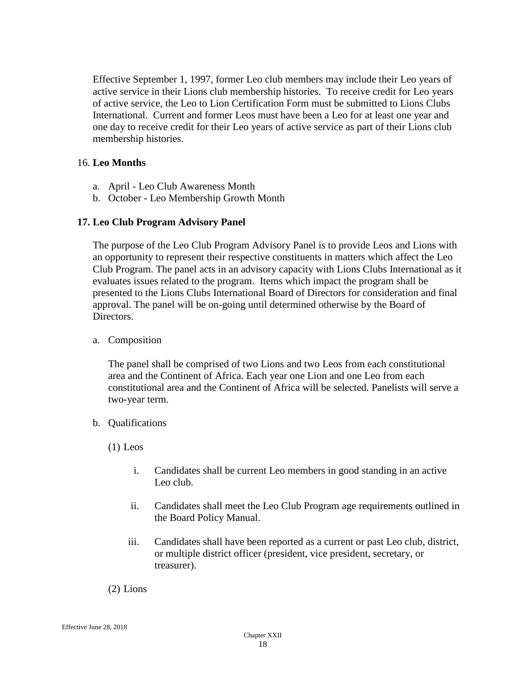Effective September 1, 1997, former Leo club members may include their Leo years of active service in their Lions club membership histories. To receive credit for Leo years of active service, the Leo to Lion Certification Form must be submitted to Lions Clubs International. Current and former Leos must have been a Leo for at least one year and one day to receive credit for their Leo years of active service as part of their Lions club membership histories.

#### 16. **Leo Months**

- a. April Leo Club Awareness Month
- b. October Leo Membership Growth Month

# **17. Leo Club Program Advisory Panel**

The purpose of the Leo Club Program Advisory Panel is to provide Leos and Lions with an opportunity to represent their respective constituents in matters which affect the Leo Club Program. The panel acts in an advisory capacity with Lions Clubs International as it evaluates issues related to the program. Items which impact the program shall be presented to the Lions Clubs International Board of Directors for consideration and final approval. The panel will be on-going until determined otherwise by the Board of Directors.

#### a. Composition

The panel shall be comprised of two Lions and two Leos from each constitutional area and the Continent of Africa. Each year one Lion and one Leo from each constitutional area and the Continent of Africa will be selected. Panelists will serve a two-year term.

- b. Qualifications
	- (1) Leos
		- i. Candidates shall be current Leo members in good standing in an active Leo club.
		- ii. Candidates shall meet the Leo Club Program age requirements outlined in the Board Policy Manual.
		- iii. Candidates shall have been reported as a current or past Leo club, district, or multiple district officer (president, vice president, secretary, or treasurer).

(2) Lions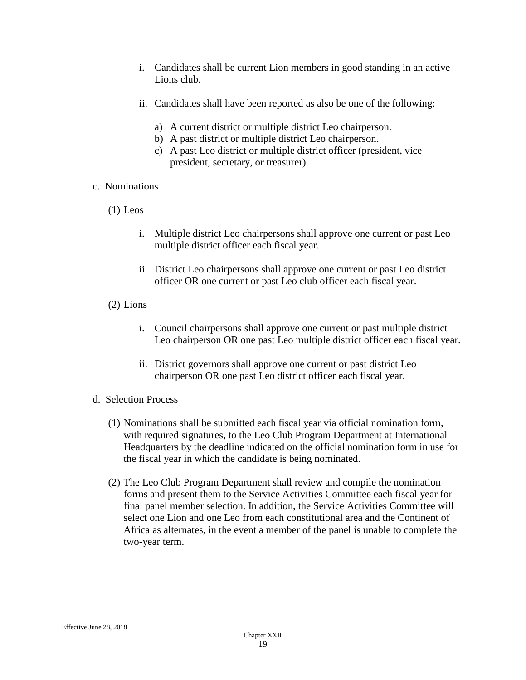- i. Candidates shall be current Lion members in good standing in an active Lions club.
- ii. Candidates shall have been reported as also be one of the following:
	- a) A current district or multiple district Leo chairperson.
	- b) A past district or multiple district Leo chairperson.
	- c) A past Leo district or multiple district officer (president, vice president, secretary, or treasurer).

#### c. Nominations

- (1) Leos
	- i. Multiple district Leo chairpersons shall approve one current or past Leo multiple district officer each fiscal year.
	- ii. District Leo chairpersons shall approve one current or past Leo district officer OR one current or past Leo club officer each fiscal year.
- (2) Lions
	- i. Council chairpersons shall approve one current or past multiple district Leo chairperson OR one past Leo multiple district officer each fiscal year.
	- ii. District governors shall approve one current or past district Leo chairperson OR one past Leo district officer each fiscal year.
- d. Selection Process
	- (1) Nominations shall be submitted each fiscal year via official nomination form, with required signatures, to the Leo Club Program Department at International Headquarters by the deadline indicated on the official nomination form in use for the fiscal year in which the candidate is being nominated.
	- (2) The Leo Club Program Department shall review and compile the nomination forms and present them to the Service Activities Committee each fiscal year for final panel member selection. In addition, the Service Activities Committee will select one Lion and one Leo from each constitutional area and the Continent of Africa as alternates, in the event a member of the panel is unable to complete the two-year term.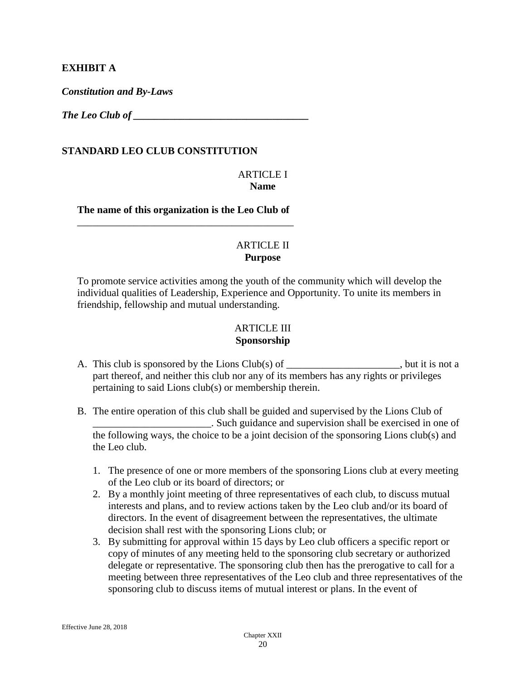### **EXHIBIT A**

*Constitution and By-Laws*

*The Leo Club of* 

#### **STANDARD LEO CLUB CONSTITUTION**

#### ARTICLE I **Name**

**The name of this organization is the Leo Club of** \_\_\_\_\_\_\_\_\_\_\_\_\_\_\_\_\_\_\_\_\_\_\_\_\_\_\_\_\_\_\_\_\_\_\_\_\_\_\_\_\_\_

#### ARTICLE II **Purpose**

To promote service activities among the youth of the community which will develop the individual qualities of Leadership, Experience and Opportunity. To unite its members in friendship, fellowship and mutual understanding.

### ARTICLE III **Sponsorship**

- A. This club is sponsored by the Lions Club(s) of \_\_\_\_\_\_\_\_\_\_\_\_\_\_\_, but it is not a part thereof, and neither this club nor any of its members has any rights or privileges pertaining to said Lions club(s) or membership therein.
- B. The entire operation of this club shall be guided and supervised by the Lions Club of \_\_\_\_\_\_\_\_\_\_\_\_\_\_\_\_\_\_\_\_\_\_\_. Such guidance and supervision shall be exercised in one of the following ways, the choice to be a joint decision of the sponsoring Lions club(s) and the Leo club.
	- 1. The presence of one or more members of the sponsoring Lions club at every meeting of the Leo club or its board of directors; or
	- 2. By a monthly joint meeting of three representatives of each club, to discuss mutual interests and plans, and to review actions taken by the Leo club and/or its board of directors. In the event of disagreement between the representatives, the ultimate decision shall rest with the sponsoring Lions club; or
	- 3. By submitting for approval within 15 days by Leo club officers a specific report or copy of minutes of any meeting held to the sponsoring club secretary or authorized delegate or representative. The sponsoring club then has the prerogative to call for a meeting between three representatives of the Leo club and three representatives of the sponsoring club to discuss items of mutual interest or plans. In the event of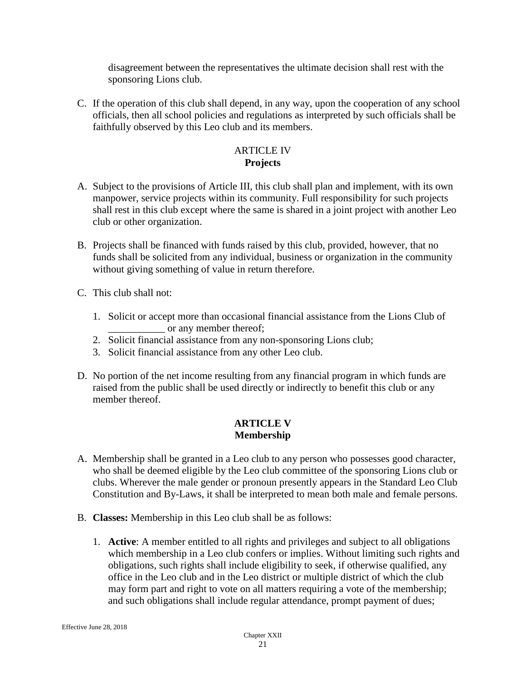disagreement between the representatives the ultimate decision shall rest with the sponsoring Lions club.

C. If the operation of this club shall depend, in any way, upon the cooperation of any school officials, then all school policies and regulations as interpreted by such officials shall be faithfully observed by this Leo club and its members.

# ARTICLE IV **Projects**

- A. Subject to the provisions of Article III, this club shall plan and implement, with its own manpower, service projects within its community. Full responsibility for such projects shall rest in this club except where the same is shared in a joint project with another Leo club or other organization.
- B. Projects shall be financed with funds raised by this club, provided, however, that no funds shall be solicited from any individual, business or organization in the community without giving something of value in return therefore.
- C. This club shall not:
	- 1. Solicit or accept more than occasional financial assistance from the Lions Club of or any member thereof;
	- 2. Solicit financial assistance from any non-sponsoring Lions club;
	- 3. Solicit financial assistance from any other Leo club.
- D. No portion of the net income resulting from any financial program in which funds are raised from the public shall be used directly or indirectly to benefit this club or any member thereof.

#### **ARTICLE V Membership**

- A. Membership shall be granted in a Leo club to any person who possesses good character, who shall be deemed eligible by the Leo club committee of the sponsoring Lions club or clubs. Wherever the male gender or pronoun presently appears in the Standard Leo Club Constitution and By-Laws, it shall be interpreted to mean both male and female persons.
- B. **Classes:** Membership in this Leo club shall be as follows:
	- 1. **Active**: A member entitled to all rights and privileges and subject to all obligations which membership in a Leo club confers or implies. Without limiting such rights and obligations, such rights shall include eligibility to seek, if otherwise qualified, any office in the Leo club and in the Leo district or multiple district of which the club may form part and right to vote on all matters requiring a vote of the membership; and such obligations shall include regular attendance, prompt payment of dues;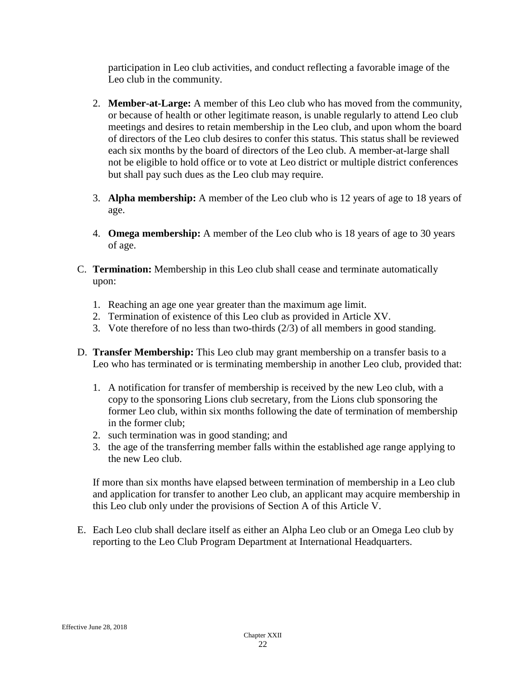participation in Leo club activities, and conduct reflecting a favorable image of the Leo club in the community.

- 2. **Member-at-Large:** A member of this Leo club who has moved from the community, or because of health or other legitimate reason, is unable regularly to attend Leo club meetings and desires to retain membership in the Leo club, and upon whom the board of directors of the Leo club desires to confer this status. This status shall be reviewed each six months by the board of directors of the Leo club. A member-at-large shall not be eligible to hold office or to vote at Leo district or multiple district conferences but shall pay such dues as the Leo club may require.
- 3. **Alpha membership:** A member of the Leo club who is 12 years of age to 18 years of age.
- 4. **Omega membership:** A member of the Leo club who is 18 years of age to 30 years of age.
- C. **Termination:** Membership in this Leo club shall cease and terminate automatically upon:
	- 1. Reaching an age one year greater than the maximum age limit.
	- 2. Termination of existence of this Leo club as provided in Article XV.
	- 3. Vote therefore of no less than two-thirds (2/3) of all members in good standing.
- D. **Transfer Membership:** This Leo club may grant membership on a transfer basis to a Leo who has terminated or is terminating membership in another Leo club, provided that:
	- 1. A notification for transfer of membership is received by the new Leo club, with a copy to the sponsoring Lions club secretary, from the Lions club sponsoring the former Leo club, within six months following the date of termination of membership in the former club;
	- 2. such termination was in good standing; and
	- 3. the age of the transferring member falls within the established age range applying to the new Leo club.

If more than six months have elapsed between termination of membership in a Leo club and application for transfer to another Leo club, an applicant may acquire membership in this Leo club only under the provisions of Section A of this Article V.

E. Each Leo club shall declare itself as either an Alpha Leo club or an Omega Leo club by reporting to the Leo Club Program Department at International Headquarters.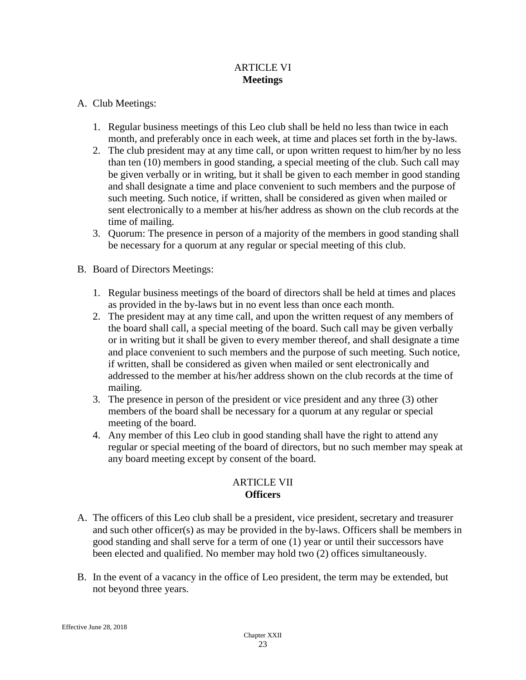# ARTICLE VI **Meetings**

# A. Club Meetings:

- 1. Regular business meetings of this Leo club shall be held no less than twice in each month, and preferably once in each week, at time and places set forth in the by-laws.
- 2. The club president may at any time call, or upon written request to him/her by no less than ten (10) members in good standing, a special meeting of the club. Such call may be given verbally or in writing, but it shall be given to each member in good standing and shall designate a time and place convenient to such members and the purpose of such meeting. Such notice, if written, shall be considered as given when mailed or sent electronically to a member at his/her address as shown on the club records at the time of mailing.
- 3. Quorum: The presence in person of a majority of the members in good standing shall be necessary for a quorum at any regular or special meeting of this club.
- B. Board of Directors Meetings:
	- 1. Regular business meetings of the board of directors shall be held at times and places as provided in the by-laws but in no event less than once each month.
	- 2. The president may at any time call, and upon the written request of any members of the board shall call, a special meeting of the board. Such call may be given verbally or in writing but it shall be given to every member thereof, and shall designate a time and place convenient to such members and the purpose of such meeting. Such notice, if written, shall be considered as given when mailed or sent electronically and addressed to the member at his/her address shown on the club records at the time of mailing.
	- 3. The presence in person of the president or vice president and any three (3) other members of the board shall be necessary for a quorum at any regular or special meeting of the board.
	- 4. Any member of this Leo club in good standing shall have the right to attend any regular or special meeting of the board of directors, but no such member may speak at any board meeting except by consent of the board.

# ARTICLE VII **Officers**

- A. The officers of this Leo club shall be a president, vice president, secretary and treasurer and such other officer(s) as may be provided in the by-laws. Officers shall be members in good standing and shall serve for a term of one (1) year or until their successors have been elected and qualified. No member may hold two (2) offices simultaneously.
- B. In the event of a vacancy in the office of Leo president, the term may be extended, but not beyond three years.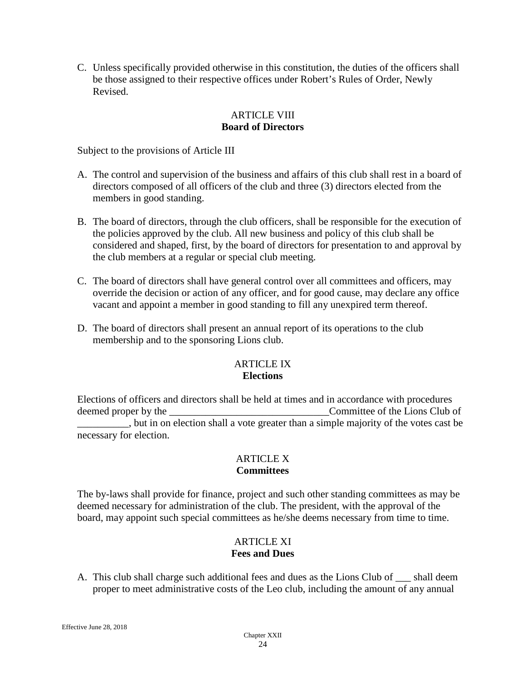C. Unless specifically provided otherwise in this constitution, the duties of the officers shall be those assigned to their respective offices under Robert's Rules of Order, Newly Revised.

# ARTICLE VIII **Board of Directors**

Subject to the provisions of Article III

- A. The control and supervision of the business and affairs of this club shall rest in a board of directors composed of all officers of the club and three (3) directors elected from the members in good standing.
- B. The board of directors, through the club officers, shall be responsible for the execution of the policies approved by the club. All new business and policy of this club shall be considered and shaped, first, by the board of directors for presentation to and approval by the club members at a regular or special club meeting.
- C. The board of directors shall have general control over all committees and officers, may override the decision or action of any officer, and for good cause, may declare any office vacant and appoint a member in good standing to fill any unexpired term thereof.
- D. The board of directors shall present an annual report of its operations to the club membership and to the sponsoring Lions club.

# ARTICLE IX **Elections**

Elections of officers and directors shall be held at times and in accordance with procedures deemed proper by the \_\_\_\_\_\_\_\_\_\_\_\_\_\_\_\_\_\_\_\_\_\_\_\_\_\_\_\_\_\_\_Committee of the Lions Club of \_\_\_\_\_\_\_\_\_\_, but in on election shall a vote greater than a simple majority of the votes cast be necessary for election.

#### ARTICLE X **Committees**

The by-laws shall provide for finance, project and such other standing committees as may be deemed necessary for administration of the club. The president, with the approval of the board, may appoint such special committees as he/she deems necessary from time to time.

# ARTICLE XI **Fees and Dues**

A. This club shall charge such additional fees and dues as the Lions Club of \_\_\_ shall deem proper to meet administrative costs of the Leo club, including the amount of any annual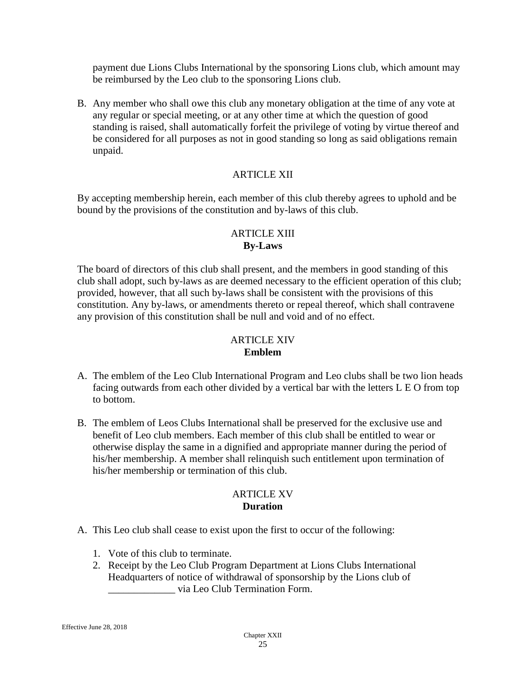payment due Lions Clubs International by the sponsoring Lions club, which amount may be reimbursed by the Leo club to the sponsoring Lions club.

B. Any member who shall owe this club any monetary obligation at the time of any vote at any regular or special meeting, or at any other time at which the question of good standing is raised, shall automatically forfeit the privilege of voting by virtue thereof and be considered for all purposes as not in good standing so long as said obligations remain unpaid.

# ARTICLE XII

By accepting membership herein, each member of this club thereby agrees to uphold and be bound by the provisions of the constitution and by-laws of this club.

# ARTICLE XIII **By-Laws**

The board of directors of this club shall present, and the members in good standing of this club shall adopt, such by-laws as are deemed necessary to the efficient operation of this club; provided, however, that all such by-laws shall be consistent with the provisions of this constitution. Any by-laws, or amendments thereto or repeal thereof, which shall contravene any provision of this constitution shall be null and void and of no effect.

### ARTICLE XIV **Emblem**

- A. The emblem of the Leo Club International Program and Leo clubs shall be two lion heads facing outwards from each other divided by a vertical bar with the letters L E O from top to bottom.
- B. The emblem of Leos Clubs International shall be preserved for the exclusive use and benefit of Leo club members. Each member of this club shall be entitled to wear or otherwise display the same in a dignified and appropriate manner during the period of his/her membership. A member shall relinquish such entitlement upon termination of his/her membership or termination of this club.

#### ARTICLE XV **Duration**

- A. This Leo club shall cease to exist upon the first to occur of the following:
	- 1. Vote of this club to terminate.
	- 2. Receipt by the Leo Club Program Department at Lions Clubs International Headquarters of notice of withdrawal of sponsorship by the Lions club of \_\_\_\_\_\_\_\_\_\_\_\_\_ via Leo Club Termination Form.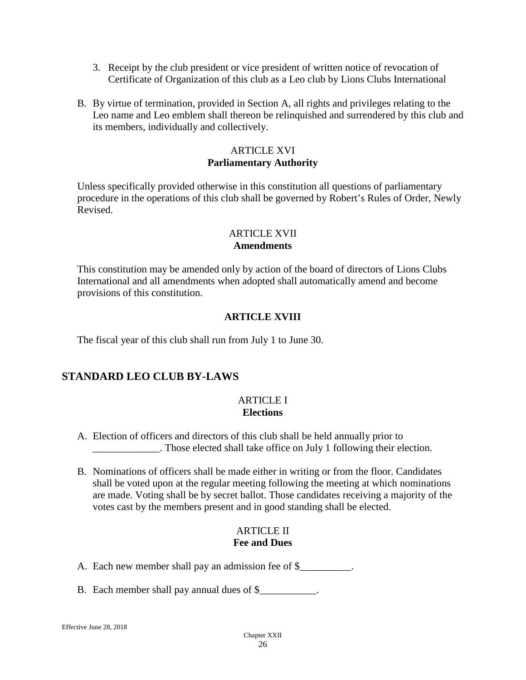- 3. Receipt by the club president or vice president of written notice of revocation of Certificate of Organization of this club as a Leo club by Lions Clubs International
- B. By virtue of termination, provided in Section A, all rights and privileges relating to the Leo name and Leo emblem shall thereon be relinquished and surrendered by this club and its members, individually and collectively.

# ARTICLE XVI **Parliamentary Authority**

Unless specifically provided otherwise in this constitution all questions of parliamentary procedure in the operations of this club shall be governed by Robert's Rules of Order, Newly Revised.

# ARTICLE XVII **Amendments**

This constitution may be amended only by action of the board of directors of Lions Clubs International and all amendments when adopted shall automatically amend and become provisions of this constitution.

# **ARTICLE XVIII**

The fiscal year of this club shall run from July 1 to June 30.

# **STANDARD LEO CLUB BY-LAWS**

# ARTICLE I **Elections**

- A. Election of officers and directors of this club shall be held annually prior to \_\_\_\_\_\_\_\_\_\_\_\_\_. Those elected shall take office on July 1 following their election.
- B. Nominations of officers shall be made either in writing or from the floor. Candidates shall be voted upon at the regular meeting following the meeting at which nominations are made. Voting shall be by secret ballot. Those candidates receiving a majority of the votes cast by the members present and in good standing shall be elected.

# **ARTICLE II Fee and Dues**

- A. Each new member shall pay an admission fee of \$\_\_\_\_\_\_\_\_\_\_.
- B. Each member shall pay annual dues of \$\_\_\_\_\_\_\_\_\_\_\_\_\_.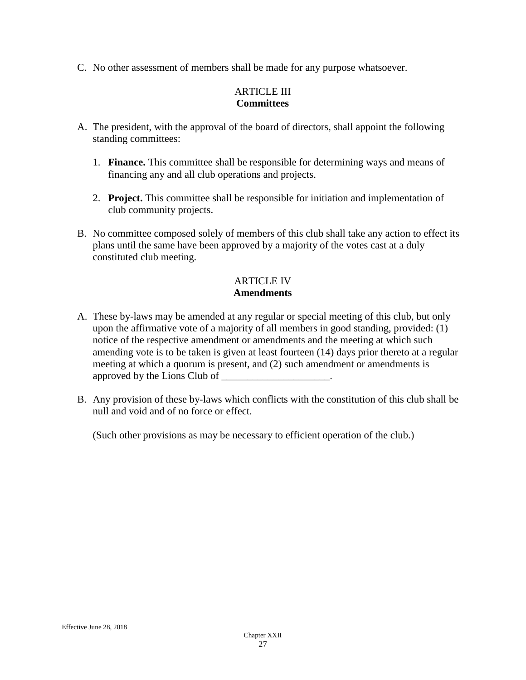C. No other assessment of members shall be made for any purpose whatsoever.

# ARTICLE III **Committees**

- A. The president, with the approval of the board of directors, shall appoint the following standing committees:
	- 1. **Finance.** This committee shall be responsible for determining ways and means of financing any and all club operations and projects.
	- 2. **Project.** This committee shall be responsible for initiation and implementation of club community projects.
- B. No committee composed solely of members of this club shall take any action to effect its plans until the same have been approved by a majority of the votes cast at a duly constituted club meeting.

# ARTICLE IV **Amendments**

- A. These by-laws may be amended at any regular or special meeting of this club, but only upon the affirmative vote of a majority of all members in good standing, provided: (1) notice of the respective amendment or amendments and the meeting at which such amending vote is to be taken is given at least fourteen (14) days prior thereto at a regular meeting at which a quorum is present, and (2) such amendment or amendments is approved by the Lions Club of \_\_\_\_\_\_\_\_\_\_\_\_\_\_\_\_\_\_\_\_\_.
- B. Any provision of these by-laws which conflicts with the constitution of this club shall be null and void and of no force or effect.

(Such other provisions as may be necessary to efficient operation of the club.)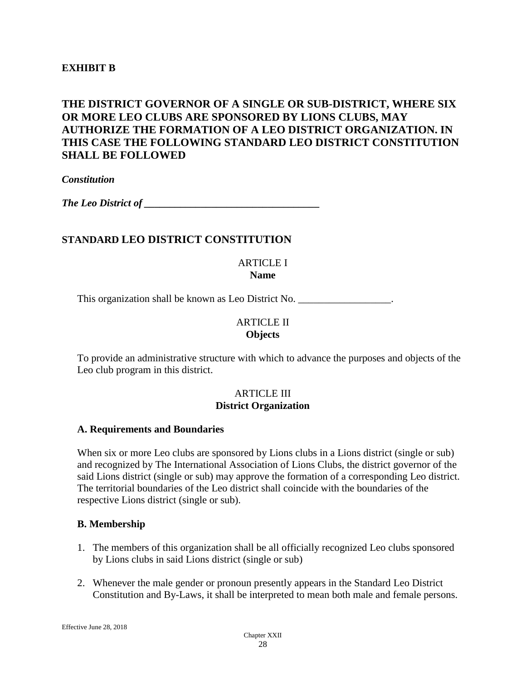# **EXHIBIT B**

# **THE DISTRICT GOVERNOR OF A SINGLE OR SUB-DISTRICT, WHERE SIX OR MORE LEO CLUBS ARE SPONSORED BY LIONS CLUBS, MAY AUTHORIZE THE FORMATION OF A LEO DISTRICT ORGANIZATION. IN THIS CASE THE FOLLOWING STANDARD LEO DISTRICT CONSTITUTION SHALL BE FOLLOWED**

*Constitution* 

*The Leo District of \_\_\_\_\_\_\_\_\_\_\_\_\_\_\_\_\_\_\_\_\_\_\_\_\_\_\_\_\_\_\_\_\_\_*

#### **STANDARD LEO DISTRICT CONSTITUTION**

ARTICLE I **Name**

This organization shall be known as Leo District No. \_\_\_\_\_\_\_\_\_\_\_\_\_\_\_\_\_\_.

#### ARTICLE II **Objects**

To provide an administrative structure with which to advance the purposes and objects of the Leo club program in this district.

#### **ARTICLE III District Organization**

#### **A. Requirements and Boundaries**

When six or more Leo clubs are sponsored by Lions clubs in a Lions district (single or sub) and recognized by The International Association of Lions Clubs, the district governor of the said Lions district (single or sub) may approve the formation of a corresponding Leo district. The territorial boundaries of the Leo district shall coincide with the boundaries of the respective Lions district (single or sub).

#### **B. Membership**

- 1. The members of this organization shall be all officially recognized Leo clubs sponsored by Lions clubs in said Lions district (single or sub)
- 2. Whenever the male gender or pronoun presently appears in the Standard Leo District Constitution and By-Laws, it shall be interpreted to mean both male and female persons.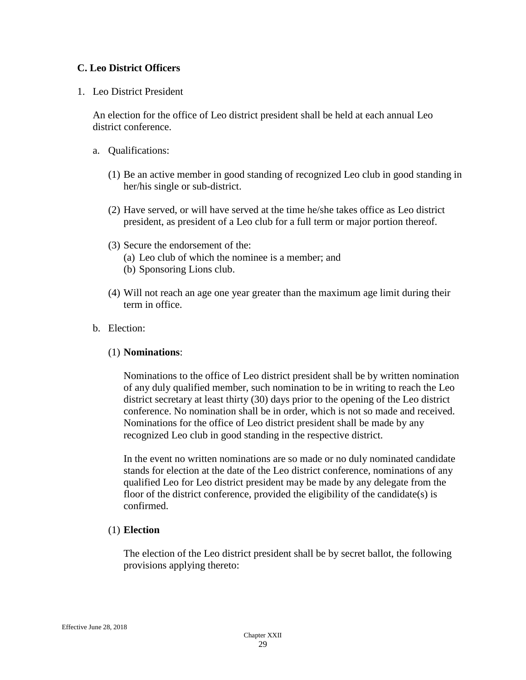### **C. Leo District Officers**

1. Leo District President

An election for the office of Leo district president shall be held at each annual Leo district conference.

- a. Qualifications:
	- (1) Be an active member in good standing of recognized Leo club in good standing in her/his single or sub-district.
	- (2) Have served, or will have served at the time he/she takes office as Leo district president, as president of a Leo club for a full term or major portion thereof.
	- (3) Secure the endorsement of the:
		- (a) Leo club of which the nominee is a member; and (b) Sponsoring Lions club.
	- (4) Will not reach an age one year greater than the maximum age limit during their term in office.
- b. Election:

#### (1) **Nominations**:

Nominations to the office of Leo district president shall be by written nomination of any duly qualified member, such nomination to be in writing to reach the Leo district secretary at least thirty (30) days prior to the opening of the Leo district conference. No nomination shall be in order, which is not so made and received. Nominations for the office of Leo district president shall be made by any recognized Leo club in good standing in the respective district.

In the event no written nominations are so made or no duly nominated candidate stands for election at the date of the Leo district conference, nominations of any qualified Leo for Leo district president may be made by any delegate from the floor of the district conference, provided the eligibility of the candidate(s) is confirmed.

#### (1) **Election**

The election of the Leo district president shall be by secret ballot, the following provisions applying thereto: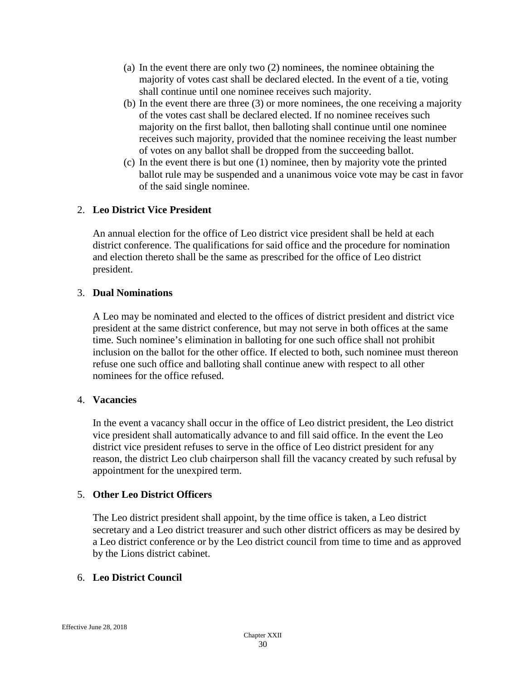- (a) In the event there are only two (2) nominees, the nominee obtaining the majority of votes cast shall be declared elected. In the event of a tie, voting shall continue until one nominee receives such majority.
- (b) In the event there are three (3) or more nominees, the one receiving a majority of the votes cast shall be declared elected. If no nominee receives such majority on the first ballot, then balloting shall continue until one nominee receives such majority, provided that the nominee receiving the least number of votes on any ballot shall be dropped from the succeeding ballot.
- (c) In the event there is but one (1) nominee, then by majority vote the printed ballot rule may be suspended and a unanimous voice vote may be cast in favor of the said single nominee.

# 2. **Leo District Vice President**

An annual election for the office of Leo district vice president shall be held at each district conference. The qualifications for said office and the procedure for nomination and election thereto shall be the same as prescribed for the office of Leo district president.

#### 3. **Dual Nominations**

A Leo may be nominated and elected to the offices of district president and district vice president at the same district conference, but may not serve in both offices at the same time. Such nominee's elimination in balloting for one such office shall not prohibit inclusion on the ballot for the other office. If elected to both, such nominee must thereon refuse one such office and balloting shall continue anew with respect to all other nominees for the office refused.

#### 4. **Vacancies**

In the event a vacancy shall occur in the office of Leo district president, the Leo district vice president shall automatically advance to and fill said office. In the event the Leo district vice president refuses to serve in the office of Leo district president for any reason, the district Leo club chairperson shall fill the vacancy created by such refusal by appointment for the unexpired term.

#### 5. **Other Leo District Officers**

The Leo district president shall appoint, by the time office is taken, a Leo district secretary and a Leo district treasurer and such other district officers as may be desired by a Leo district conference or by the Leo district council from time to time and as approved by the Lions district cabinet.

#### 6. **Leo District Council**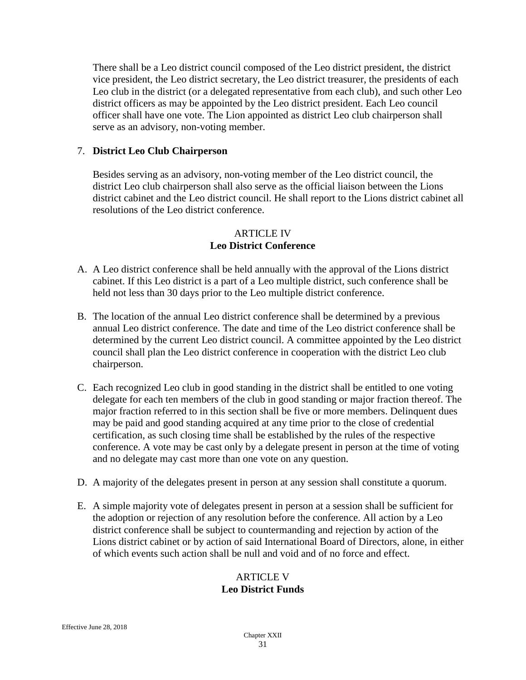There shall be a Leo district council composed of the Leo district president, the district vice president, the Leo district secretary, the Leo district treasurer, the presidents of each Leo club in the district (or a delegated representative from each club), and such other Leo district officers as may be appointed by the Leo district president. Each Leo council officer shall have one vote. The Lion appointed as district Leo club chairperson shall serve as an advisory, non-voting member.

# 7. **District Leo Club Chairperson**

Besides serving as an advisory, non-voting member of the Leo district council, the district Leo club chairperson shall also serve as the official liaison between the Lions district cabinet and the Leo district council. He shall report to the Lions district cabinet all resolutions of the Leo district conference.

# ARTICLE IV **Leo District Conference**

- A. A Leo district conference shall be held annually with the approval of the Lions district cabinet. If this Leo district is a part of a Leo multiple district, such conference shall be held not less than 30 days prior to the Leo multiple district conference.
- B. The location of the annual Leo district conference shall be determined by a previous annual Leo district conference. The date and time of the Leo district conference shall be determined by the current Leo district council. A committee appointed by the Leo district council shall plan the Leo district conference in cooperation with the district Leo club chairperson.
- C. Each recognized Leo club in good standing in the district shall be entitled to one voting delegate for each ten members of the club in good standing or major fraction thereof. The major fraction referred to in this section shall be five or more members. Delinquent dues may be paid and good standing acquired at any time prior to the close of credential certification, as such closing time shall be established by the rules of the respective conference. A vote may be cast only by a delegate present in person at the time of voting and no delegate may cast more than one vote on any question.
- D. A majority of the delegates present in person at any session shall constitute a quorum.
- E. A simple majority vote of delegates present in person at a session shall be sufficient for the adoption or rejection of any resolution before the conference. All action by a Leo district conference shall be subject to countermanding and rejection by action of the Lions district cabinet or by action of said International Board of Directors, alone, in either of which events such action shall be null and void and of no force and effect.

#### ARTICLE V **Leo District Funds**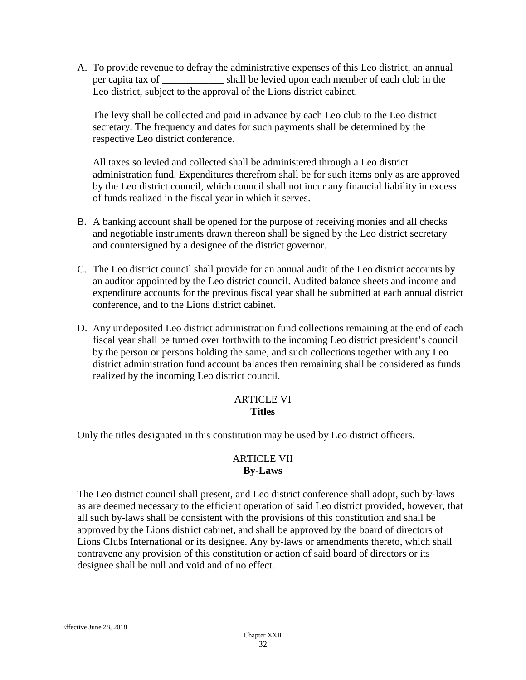A. To provide revenue to defray the administrative expenses of this Leo district, an annual per capita tax of \_\_\_\_\_\_\_\_\_\_\_\_ shall be levied upon each member of each club in the Leo district, subject to the approval of the Lions district cabinet.

The levy shall be collected and paid in advance by each Leo club to the Leo district secretary. The frequency and dates for such payments shall be determined by the respective Leo district conference.

All taxes so levied and collected shall be administered through a Leo district administration fund. Expenditures therefrom shall be for such items only as are approved by the Leo district council, which council shall not incur any financial liability in excess of funds realized in the fiscal year in which it serves.

- B. A banking account shall be opened for the purpose of receiving monies and all checks and negotiable instruments drawn thereon shall be signed by the Leo district secretary and countersigned by a designee of the district governor.
- C. The Leo district council shall provide for an annual audit of the Leo district accounts by an auditor appointed by the Leo district council. Audited balance sheets and income and expenditure accounts for the previous fiscal year shall be submitted at each annual district conference, and to the Lions district cabinet.
- D. Any undeposited Leo district administration fund collections remaining at the end of each fiscal year shall be turned over forthwith to the incoming Leo district president's council by the person or persons holding the same, and such collections together with any Leo district administration fund account balances then remaining shall be considered as funds realized by the incoming Leo district council.

#### ARTICLE VI **Titles**

Only the titles designated in this constitution may be used by Leo district officers.

# ARTICLE VII **By-Laws**

The Leo district council shall present, and Leo district conference shall adopt, such by-laws as are deemed necessary to the efficient operation of said Leo district provided, however, that all such by-laws shall be consistent with the provisions of this constitution and shall be approved by the Lions district cabinet, and shall be approved by the board of directors of Lions Clubs International or its designee. Any by-laws or amendments thereto, which shall contravene any provision of this constitution or action of said board of directors or its designee shall be null and void and of no effect.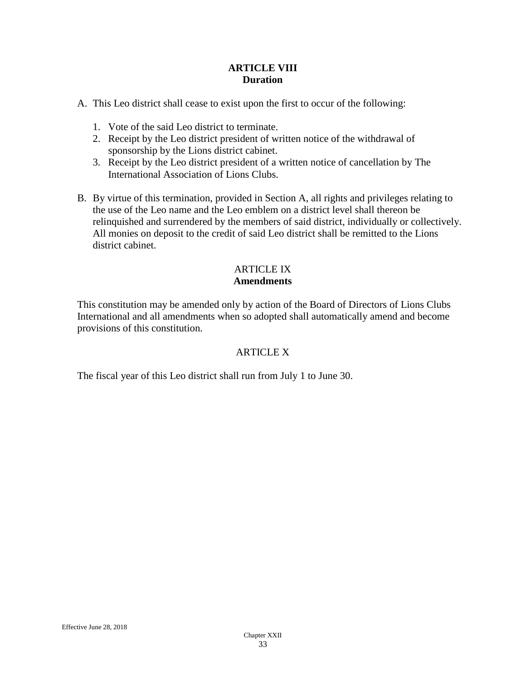#### **ARTICLE VIII Duration**

A. This Leo district shall cease to exist upon the first to occur of the following:

- 1. Vote of the said Leo district to terminate.
- 2. Receipt by the Leo district president of written notice of the withdrawal of sponsorship by the Lions district cabinet.
- 3. Receipt by the Leo district president of a written notice of cancellation by The International Association of Lions Clubs.
- B. By virtue of this termination, provided in Section A, all rights and privileges relating to the use of the Leo name and the Leo emblem on a district level shall thereon be relinquished and surrendered by the members of said district, individually or collectively. All monies on deposit to the credit of said Leo district shall be remitted to the Lions district cabinet.

# ARTICLE IX **Amendments**

This constitution may be amended only by action of the Board of Directors of Lions Clubs International and all amendments when so adopted shall automatically amend and become provisions of this constitution.

# ARTICLE X

The fiscal year of this Leo district shall run from July 1 to June 30.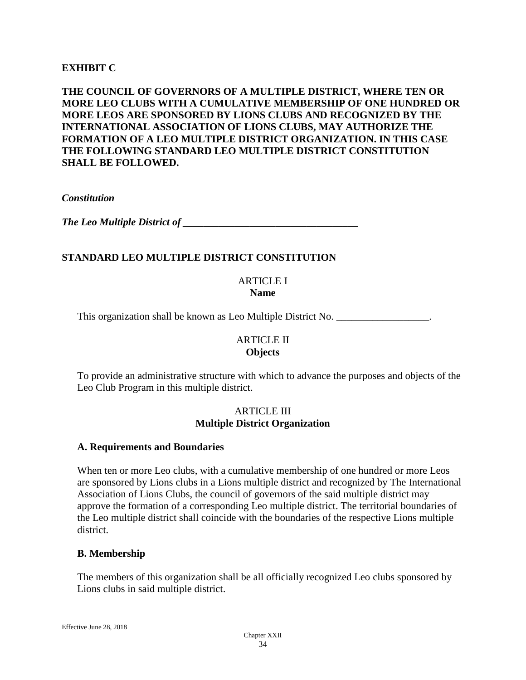# **EXHIBIT C**

# **THE COUNCIL OF GOVERNORS OF A MULTIPLE DISTRICT, WHERE TEN OR MORE LEO CLUBS WITH A CUMULATIVE MEMBERSHIP OF ONE HUNDRED OR MORE LEOS ARE SPONSORED BY LIONS CLUBS AND RECOGNIZED BY THE INTERNATIONAL ASSOCIATION OF LIONS CLUBS, MAY AUTHORIZE THE FORMATION OF A LEO MULTIPLE DISTRICT ORGANIZATION. IN THIS CASE THE FOLLOWING STANDARD LEO MULTIPLE DISTRICT CONSTITUTION SHALL BE FOLLOWED.**

#### *Constitution*

*The Leo Multiple District of*  $\blacksquare$ 

# **STANDARD LEO MULTIPLE DISTRICT CONSTITUTION**

#### ARTICLE I **Name**

This organization shall be known as Leo Multiple District No. \_\_\_\_\_\_\_\_\_\_\_\_\_\_\_\_\_\_.

#### ARTICLE II **Objects**

To provide an administrative structure with which to advance the purposes and objects of the Leo Club Program in this multiple district.

#### ARTICLE III **Multiple District Organization**

#### **A. Requirements and Boundaries**

When ten or more Leo clubs, with a cumulative membership of one hundred or more Leos are sponsored by Lions clubs in a Lions multiple district and recognized by The International Association of Lions Clubs, the council of governors of the said multiple district may approve the formation of a corresponding Leo multiple district. The territorial boundaries of the Leo multiple district shall coincide with the boundaries of the respective Lions multiple district.

# **B. Membership**

The members of this organization shall be all officially recognized Leo clubs sponsored by Lions clubs in said multiple district.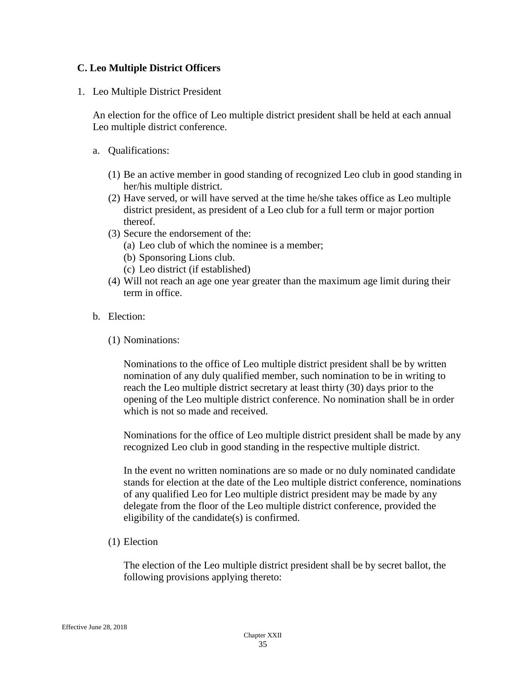# **C. Leo Multiple District Officers**

1. Leo Multiple District President

An election for the office of Leo multiple district president shall be held at each annual Leo multiple district conference.

- a. Qualifications:
	- (1) Be an active member in good standing of recognized Leo club in good standing in her/his multiple district.
	- (2) Have served, or will have served at the time he/she takes office as Leo multiple district president, as president of a Leo club for a full term or major portion thereof.
	- (3) Secure the endorsement of the:
		- (a) Leo club of which the nominee is a member;
		- (b) Sponsoring Lions club.
		- (c) Leo district (if established)
	- (4) Will not reach an age one year greater than the maximum age limit during their term in office.
- b. Election:
	- (1) Nominations:

Nominations to the office of Leo multiple district president shall be by written nomination of any duly qualified member, such nomination to be in writing to reach the Leo multiple district secretary at least thirty (30) days prior to the opening of the Leo multiple district conference. No nomination shall be in order which is not so made and received.

Nominations for the office of Leo multiple district president shall be made by any recognized Leo club in good standing in the respective multiple district.

In the event no written nominations are so made or no duly nominated candidate stands for election at the date of the Leo multiple district conference, nominations of any qualified Leo for Leo multiple district president may be made by any delegate from the floor of the Leo multiple district conference, provided the eligibility of the candidate(s) is confirmed.

(1) Election

The election of the Leo multiple district president shall be by secret ballot, the following provisions applying thereto: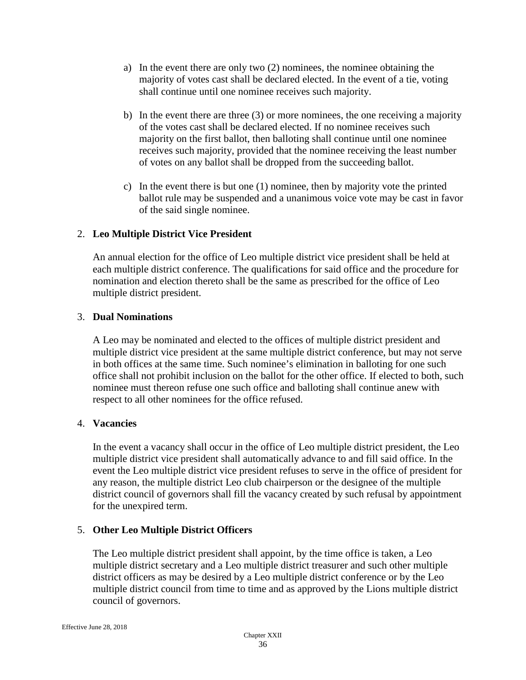- a) In the event there are only two (2) nominees, the nominee obtaining the majority of votes cast shall be declared elected. In the event of a tie, voting shall continue until one nominee receives such majority.
- b) In the event there are three (3) or more nominees, the one receiving a majority of the votes cast shall be declared elected. If no nominee receives such majority on the first ballot, then balloting shall continue until one nominee receives such majority, provided that the nominee receiving the least number of votes on any ballot shall be dropped from the succeeding ballot.
- c) In the event there is but one (1) nominee, then by majority vote the printed ballot rule may be suspended and a unanimous voice vote may be cast in favor of the said single nominee.

# 2. **Leo Multiple District Vice President**

An annual election for the office of Leo multiple district vice president shall be held at each multiple district conference. The qualifications for said office and the procedure for nomination and election thereto shall be the same as prescribed for the office of Leo multiple district president.

# 3. **Dual Nominations**

A Leo may be nominated and elected to the offices of multiple district president and multiple district vice president at the same multiple district conference, but may not serve in both offices at the same time. Such nominee's elimination in balloting for one such office shall not prohibit inclusion on the ballot for the other office. If elected to both, such nominee must thereon refuse one such office and balloting shall continue anew with respect to all other nominees for the office refused.

# 4. **Vacancies**

In the event a vacancy shall occur in the office of Leo multiple district president, the Leo multiple district vice president shall automatically advance to and fill said office. In the event the Leo multiple district vice president refuses to serve in the office of president for any reason, the multiple district Leo club chairperson or the designee of the multiple district council of governors shall fill the vacancy created by such refusal by appointment for the unexpired term.

# 5. **Other Leo Multiple District Officers**

The Leo multiple district president shall appoint, by the time office is taken, a Leo multiple district secretary and a Leo multiple district treasurer and such other multiple district officers as may be desired by a Leo multiple district conference or by the Leo multiple district council from time to time and as approved by the Lions multiple district council of governors.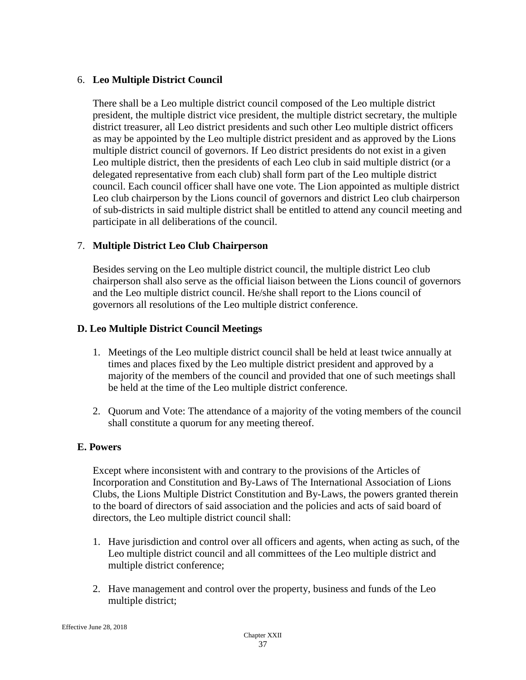### 6. **Leo Multiple District Council**

There shall be a Leo multiple district council composed of the Leo multiple district president, the multiple district vice president, the multiple district secretary, the multiple district treasurer, all Leo district presidents and such other Leo multiple district officers as may be appointed by the Leo multiple district president and as approved by the Lions multiple district council of governors. If Leo district presidents do not exist in a given Leo multiple district, then the presidents of each Leo club in said multiple district (or a delegated representative from each club) shall form part of the Leo multiple district council. Each council officer shall have one vote. The Lion appointed as multiple district Leo club chairperson by the Lions council of governors and district Leo club chairperson of sub-districts in said multiple district shall be entitled to attend any council meeting and participate in all deliberations of the council.

# 7. **Multiple District Leo Club Chairperson**

Besides serving on the Leo multiple district council, the multiple district Leo club chairperson shall also serve as the official liaison between the Lions council of governors and the Leo multiple district council. He/she shall report to the Lions council of governors all resolutions of the Leo multiple district conference.

#### **D. Leo Multiple District Council Meetings**

- 1. Meetings of the Leo multiple district council shall be held at least twice annually at times and places fixed by the Leo multiple district president and approved by a majority of the members of the council and provided that one of such meetings shall be held at the time of the Leo multiple district conference.
- 2. Quorum and Vote: The attendance of a majority of the voting members of the council shall constitute a quorum for any meeting thereof.

#### **E. Powers**

Except where inconsistent with and contrary to the provisions of the Articles of Incorporation and Constitution and By-Laws of The International Association of Lions Clubs, the Lions Multiple District Constitution and By-Laws, the powers granted therein to the board of directors of said association and the policies and acts of said board of directors, the Leo multiple district council shall:

- 1. Have jurisdiction and control over all officers and agents, when acting as such, of the Leo multiple district council and all committees of the Leo multiple district and multiple district conference;
- 2. Have management and control over the property, business and funds of the Leo multiple district;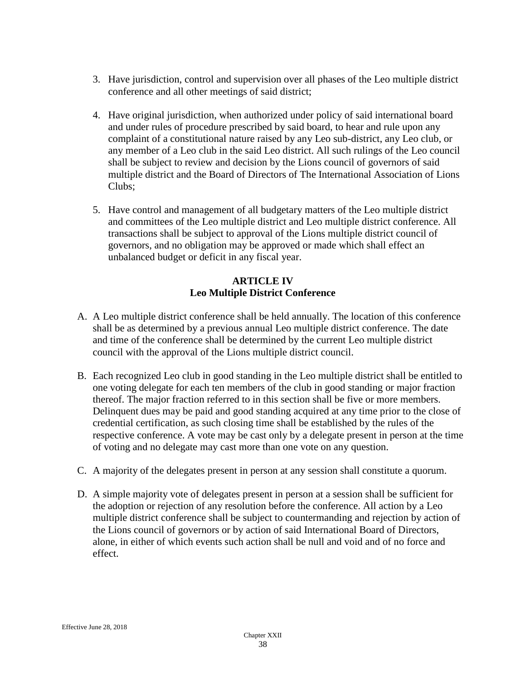- 3. Have jurisdiction, control and supervision over all phases of the Leo multiple district conference and all other meetings of said district;
- 4. Have original jurisdiction, when authorized under policy of said international board and under rules of procedure prescribed by said board, to hear and rule upon any complaint of a constitutional nature raised by any Leo sub-district, any Leo club, or any member of a Leo club in the said Leo district. All such rulings of the Leo council shall be subject to review and decision by the Lions council of governors of said multiple district and the Board of Directors of The International Association of Lions Clubs;
- 5. Have control and management of all budgetary matters of the Leo multiple district and committees of the Leo multiple district and Leo multiple district conference. All transactions shall be subject to approval of the Lions multiple district council of governors, and no obligation may be approved or made which shall effect an unbalanced budget or deficit in any fiscal year.

# **ARTICLE IV Leo Multiple District Conference**

- A. A Leo multiple district conference shall be held annually. The location of this conference shall be as determined by a previous annual Leo multiple district conference. The date and time of the conference shall be determined by the current Leo multiple district council with the approval of the Lions multiple district council.
- B. Each recognized Leo club in good standing in the Leo multiple district shall be entitled to one voting delegate for each ten members of the club in good standing or major fraction thereof. The major fraction referred to in this section shall be five or more members. Delinquent dues may be paid and good standing acquired at any time prior to the close of credential certification, as such closing time shall be established by the rules of the respective conference. A vote may be cast only by a delegate present in person at the time of voting and no delegate may cast more than one vote on any question.
- C. A majority of the delegates present in person at any session shall constitute a quorum.
- D. A simple majority vote of delegates present in person at a session shall be sufficient for the adoption or rejection of any resolution before the conference. All action by a Leo multiple district conference shall be subject to countermanding and rejection by action of the Lions council of governors or by action of said International Board of Directors, alone, in either of which events such action shall be null and void and of no force and effect.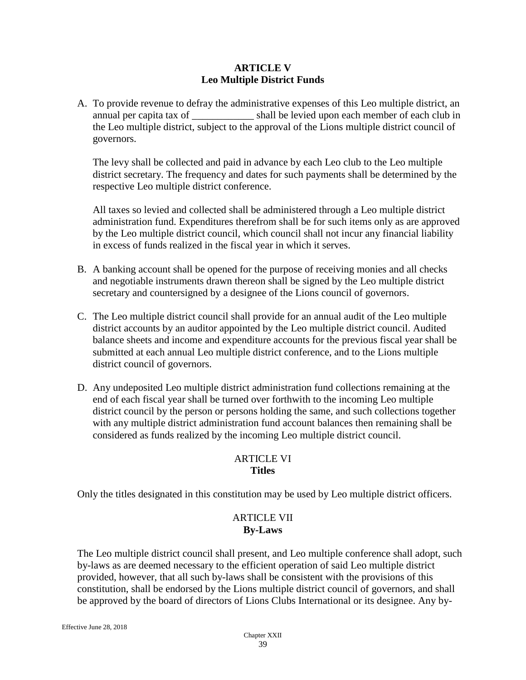#### **ARTICLE V Leo Multiple District Funds**

A. To provide revenue to defray the administrative expenses of this Leo multiple district, an annual per capita tax of \_\_\_\_\_\_\_\_\_\_\_\_ shall be levied upon each member of each club in the Leo multiple district, subject to the approval of the Lions multiple district council of governors.

The levy shall be collected and paid in advance by each Leo club to the Leo multiple district secretary. The frequency and dates for such payments shall be determined by the respective Leo multiple district conference.

All taxes so levied and collected shall be administered through a Leo multiple district administration fund. Expenditures therefrom shall be for such items only as are approved by the Leo multiple district council, which council shall not incur any financial liability in excess of funds realized in the fiscal year in which it serves.

- B. A banking account shall be opened for the purpose of receiving monies and all checks and negotiable instruments drawn thereon shall be signed by the Leo multiple district secretary and countersigned by a designee of the Lions council of governors.
- C. The Leo multiple district council shall provide for an annual audit of the Leo multiple district accounts by an auditor appointed by the Leo multiple district council. Audited balance sheets and income and expenditure accounts for the previous fiscal year shall be submitted at each annual Leo multiple district conference, and to the Lions multiple district council of governors.
- D. Any undeposited Leo multiple district administration fund collections remaining at the end of each fiscal year shall be turned over forthwith to the incoming Leo multiple district council by the person or persons holding the same, and such collections together with any multiple district administration fund account balances then remaining shall be considered as funds realized by the incoming Leo multiple district council.

# ARTICLE VI **Titles**

Only the titles designated in this constitution may be used by Leo multiple district officers.

# ARTICLE VII **By-Laws**

The Leo multiple district council shall present, and Leo multiple conference shall adopt, such by-laws as are deemed necessary to the efficient operation of said Leo multiple district provided, however, that all such by-laws shall be consistent with the provisions of this constitution, shall be endorsed by the Lions multiple district council of governors, and shall be approved by the board of directors of Lions Clubs International or its designee. Any by